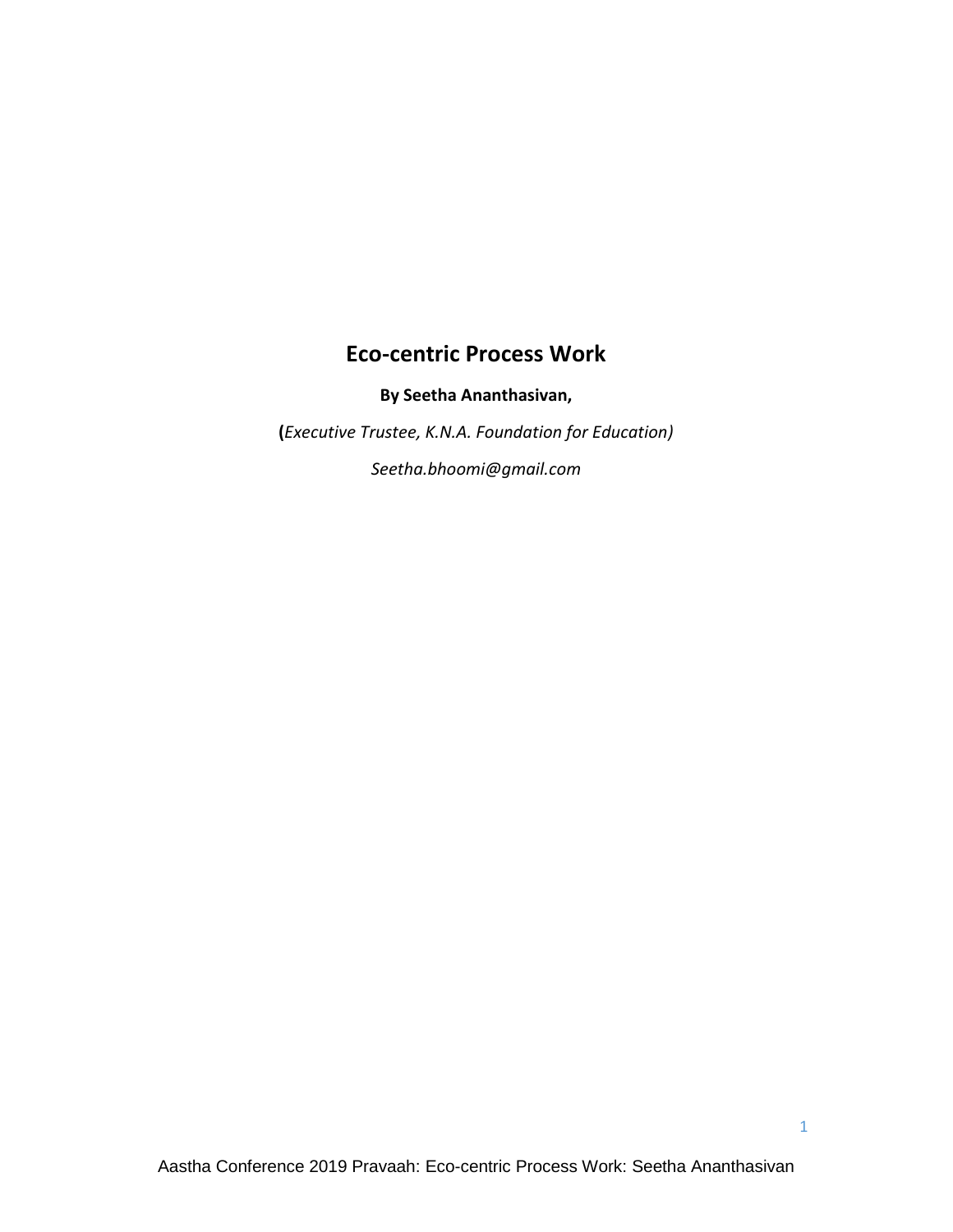# **Eco-centric Process Work**

**By Seetha Ananthasivan,** 

**(***Executive Trustee, K.N.A. Foundation for Education)*

*Seetha.bhoomi@gmail.com*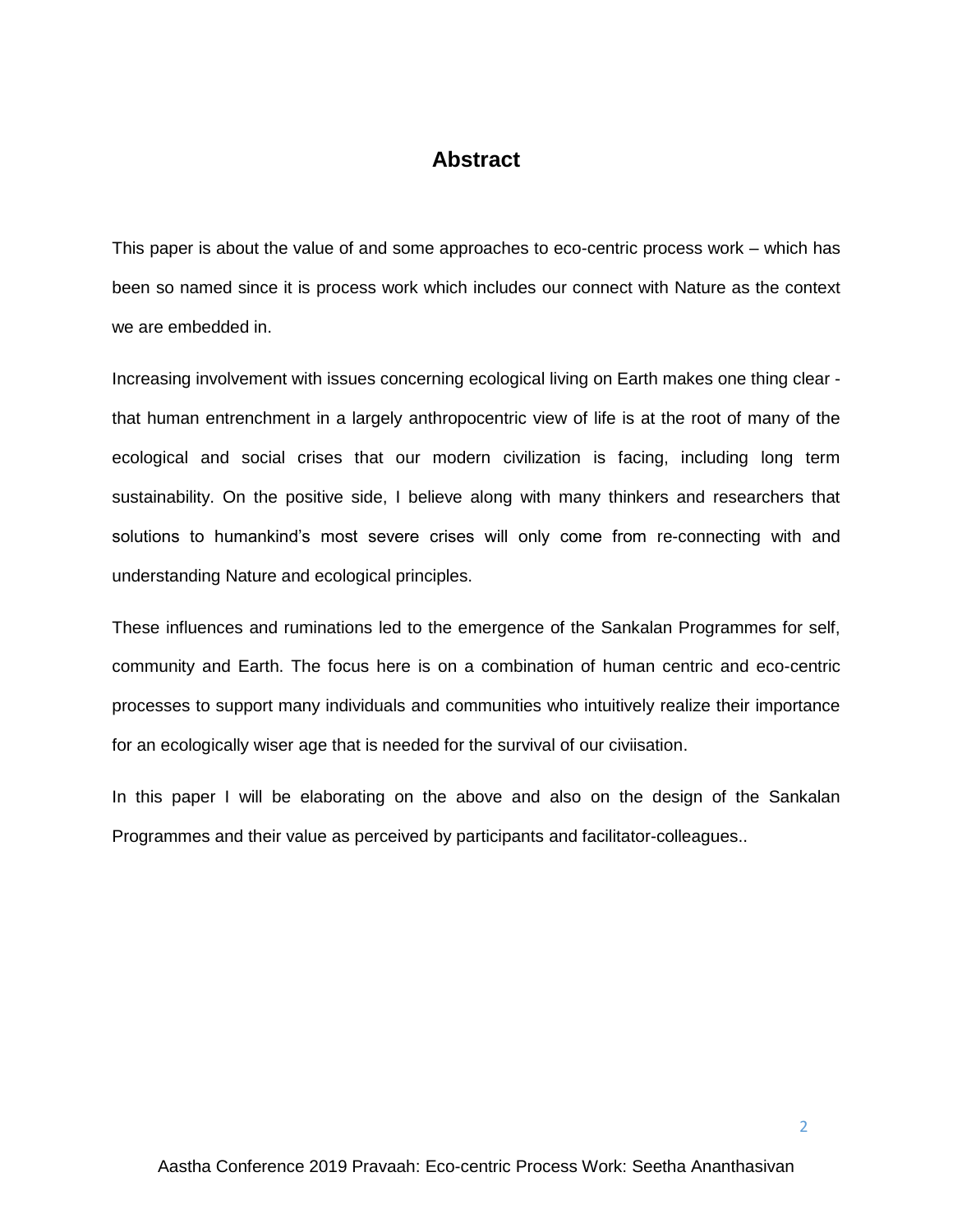## **Abstract**

This paper is about the value of and some approaches to eco-centric process work – which has been so named since it is process work which includes our connect with Nature as the context we are embedded in.

Increasing involvement with issues concerning ecological living on Earth makes one thing clear that human entrenchment in a largely anthropocentric view of life is at the root of many of the ecological and social crises that our modern civilization is facing, including long term sustainability. On the positive side, I believe along with many thinkers and researchers that solutions to humankind's most severe crises will only come from re-connecting with and understanding Nature and ecological principles.

These influences and ruminations led to the emergence of the Sankalan Programmes for self, community and Earth. The focus here is on a combination of human centric and eco-centric processes to support many individuals and communities who intuitively realize their importance for an ecologically wiser age that is needed for the survival of our civiisation.

In this paper I will be elaborating on the above and also on the design of the Sankalan Programmes and their value as perceived by participants and facilitator-colleagues..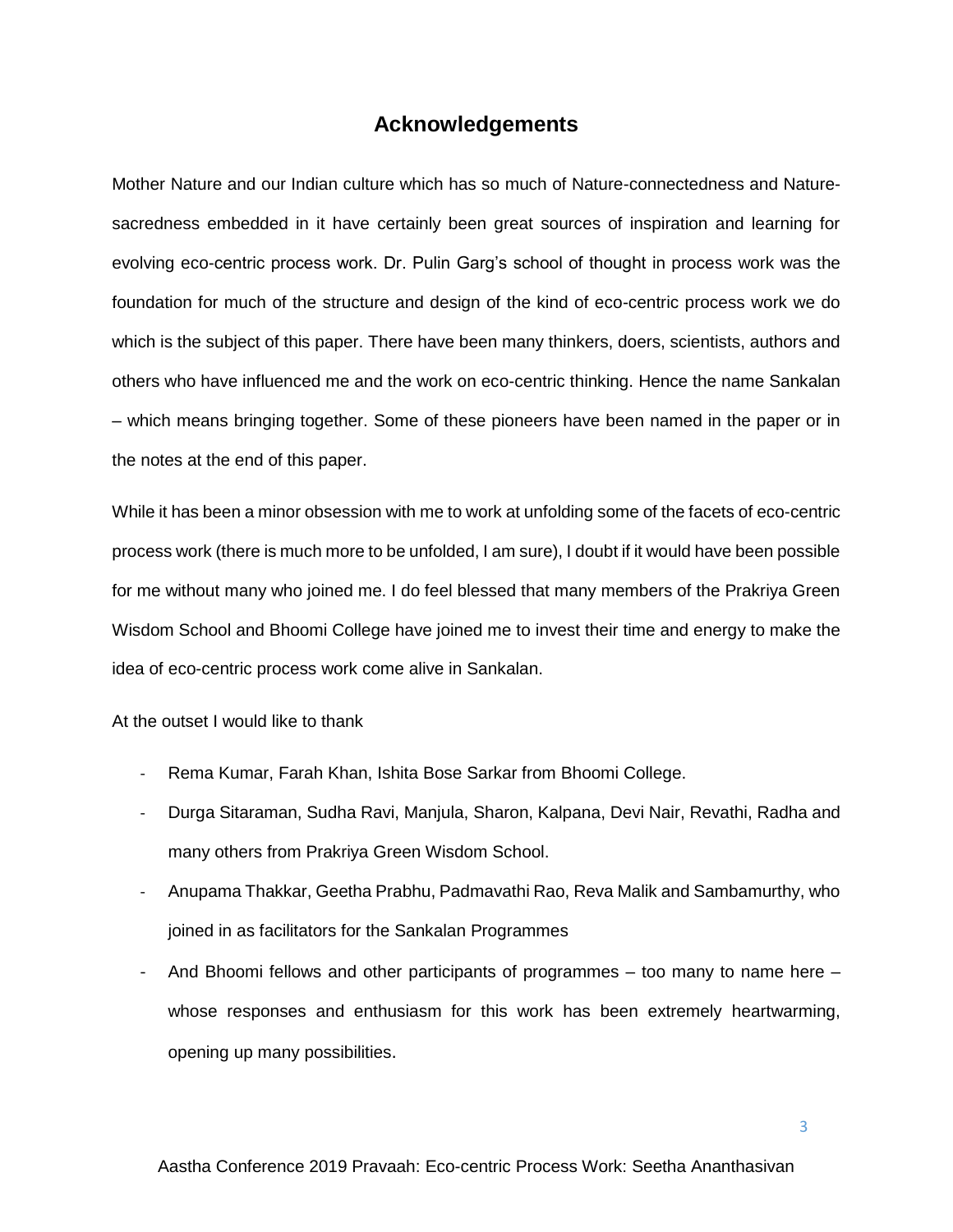## **Acknowledgements**

Mother Nature and our Indian culture which has so much of Nature-connectedness and Naturesacredness embedded in it have certainly been great sources of inspiration and learning for evolving eco-centric process work. Dr. Pulin Garg's school of thought in process work was the foundation for much of the structure and design of the kind of eco-centric process work we do which is the subject of this paper. There have been many thinkers, doers, scientists, authors and others who have influenced me and the work on eco-centric thinking. Hence the name Sankalan – which means bringing together. Some of these pioneers have been named in the paper or in the notes at the end of this paper.

While it has been a minor obsession with me to work at unfolding some of the facets of eco-centric process work (there is much more to be unfolded, I am sure), I doubt if it would have been possible for me without many who joined me. I do feel blessed that many members of the Prakriya Green Wisdom School and Bhoomi College have joined me to invest their time and energy to make the idea of eco-centric process work come alive in Sankalan.

At the outset I would like to thank

- Rema Kumar, Farah Khan, Ishita Bose Sarkar from Bhoomi College.
- Durga Sitaraman, Sudha Ravi, Manjula, Sharon, Kalpana, Devi Nair, Revathi, Radha and many others from Prakriya Green Wisdom School.
- Anupama Thakkar, Geetha Prabhu, Padmavathi Rao, Reva Malik and Sambamurthy, who joined in as facilitators for the Sankalan Programmes
- And Bhoomi fellows and other participants of programmes too many to name here whose responses and enthusiasm for this work has been extremely heartwarming, opening up many possibilities.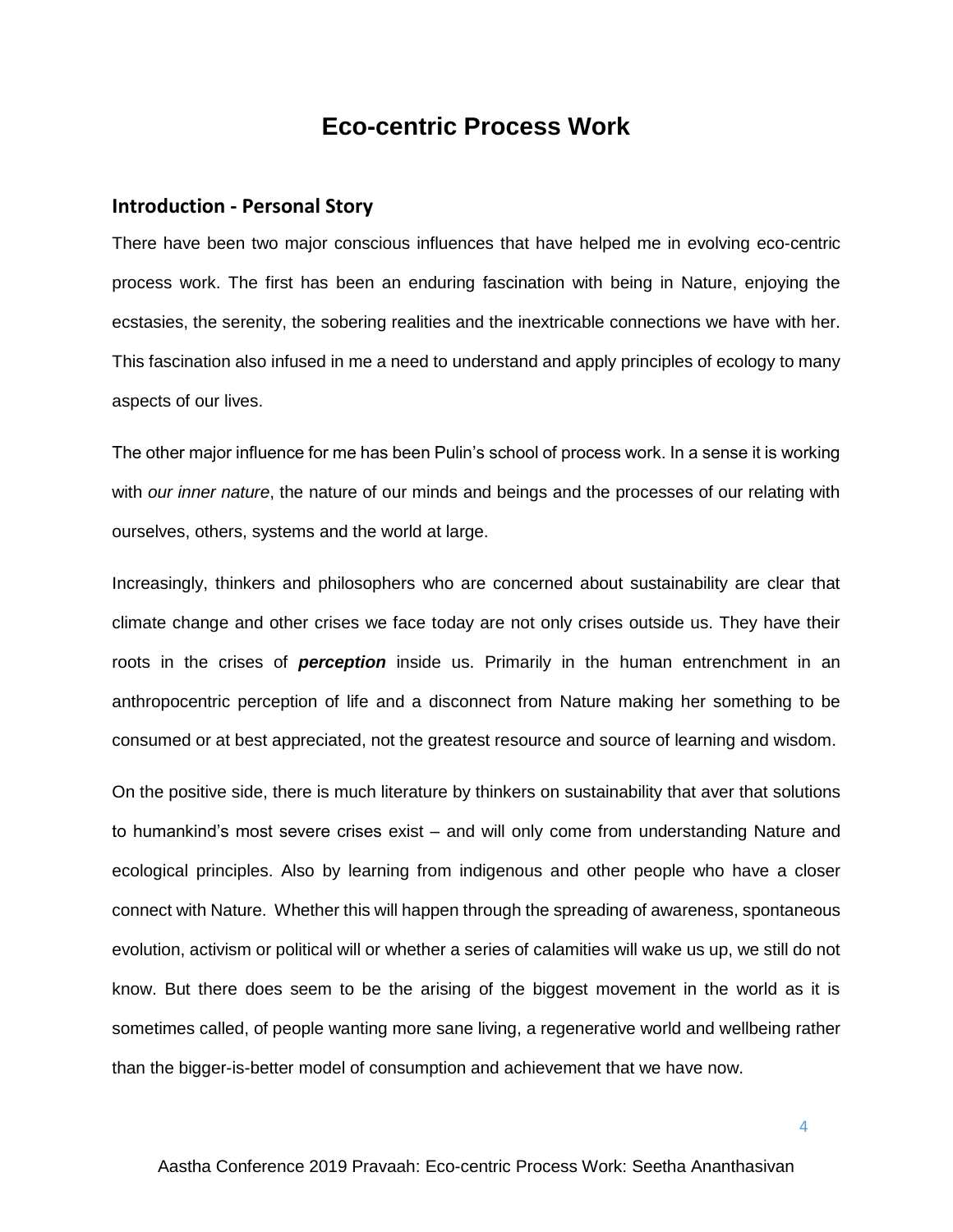# **Eco-centric Process Work**

#### **Introduction - Personal Story**

There have been two major conscious influences that have helped me in evolving eco-centric process work. The first has been an enduring fascination with being in Nature, enjoying the ecstasies, the serenity, the sobering realities and the inextricable connections we have with her. This fascination also infused in me a need to understand and apply principles of ecology to many aspects of our lives.

The other major influence for me has been Pulin's school of process work. In a sense it is working with *our inner nature*, the nature of our minds and beings and the processes of our relating with ourselves, others, systems and the world at large.

Increasingly, thinkers and philosophers who are concerned about sustainability are clear that climate change and other crises we face today are not only crises outside us. They have their roots in the crises of *perception* inside us. Primarily in the human entrenchment in an anthropocentric perception of life and a disconnect from Nature making her something to be consumed or at best appreciated, not the greatest resource and source of learning and wisdom.

On the positive side, there is much literature by thinkers on sustainability that aver that solutions to humankind's most severe crises exist – and will only come from understanding Nature and ecological principles. Also by learning from indigenous and other people who have a closer connect with Nature. Whether this will happen through the spreading of awareness, spontaneous evolution, activism or political will or whether a series of calamities will wake us up, we still do not know. But there does seem to be the arising of the biggest movement in the world as it is sometimes called, of people wanting more sane living, a regenerative world and wellbeing rather than the bigger-is-better model of consumption and achievement that we have now.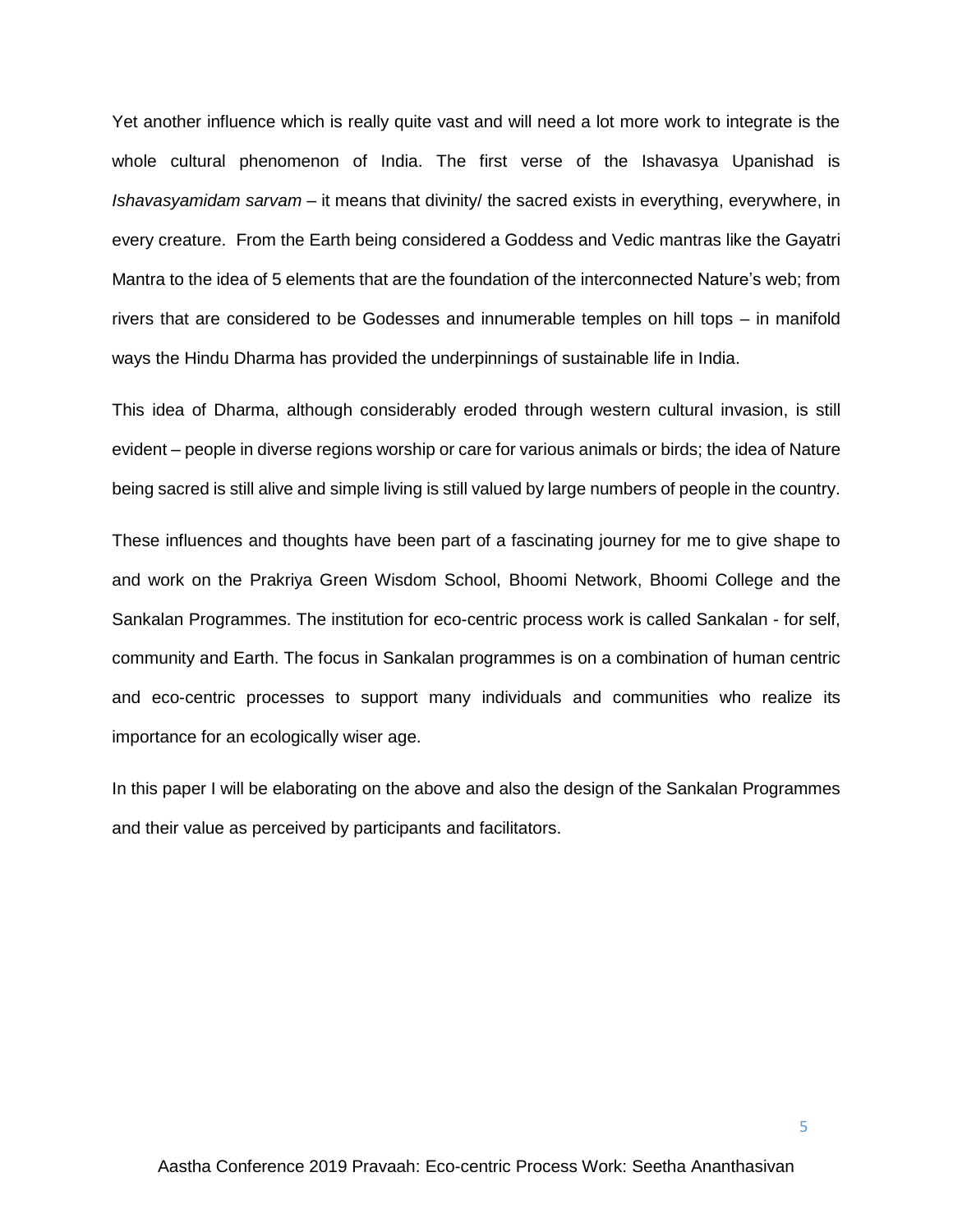Yet another influence which is really quite vast and will need a lot more work to integrate is the whole cultural phenomenon of India. The first verse of the Ishavasya Upanishad is *Ishavasyamidam sarvam* – it means that divinity/ the sacred exists in everything, everywhere, in every creature. From the Earth being considered a Goddess and Vedic mantras like the Gayatri Mantra to the idea of 5 elements that are the foundation of the interconnected Nature's web; from rivers that are considered to be Godesses and innumerable temples on hill tops – in manifold ways the Hindu Dharma has provided the underpinnings of sustainable life in India.

This idea of Dharma, although considerably eroded through western cultural invasion, is still evident – people in diverse regions worship or care for various animals or birds; the idea of Nature being sacred is still alive and simple living is still valued by large numbers of people in the country.

These influences and thoughts have been part of a fascinating journey for me to give shape to and work on the Prakriya Green Wisdom School, Bhoomi Network, Bhoomi College and the Sankalan Programmes. The institution for eco-centric process work is called Sankalan - for self, community and Earth. The focus in Sankalan programmes is on a combination of human centric and eco-centric processes to support many individuals and communities who realize its importance for an ecologically wiser age.

In this paper I will be elaborating on the above and also the design of the Sankalan Programmes and their value as perceived by participants and facilitators.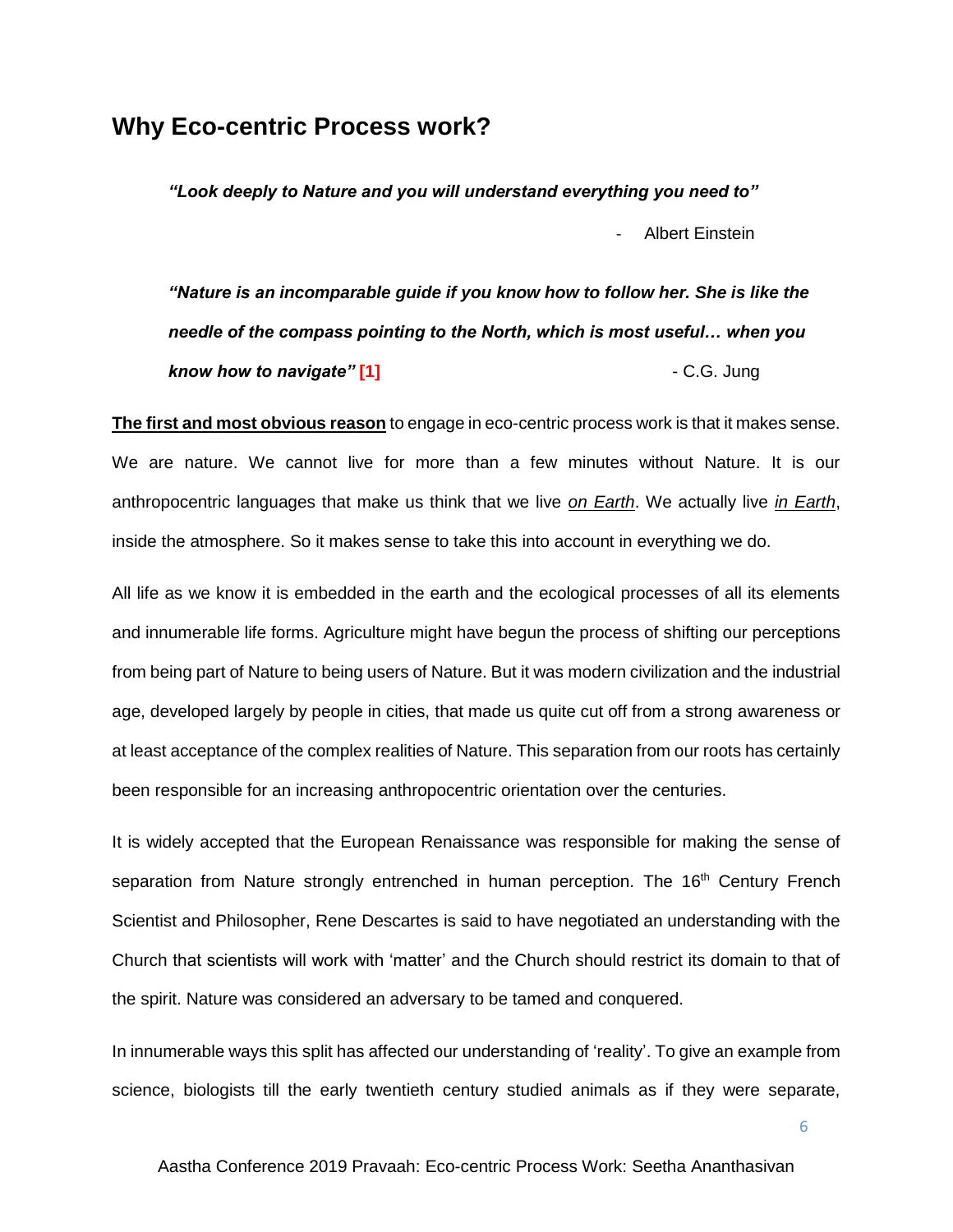## **Why Eco-centric Process work?**

*"Look deeply to Nature and you will understand everything you need to"* - Albert Einstein

*"Nature is an incomparable guide if you know how to follow her. She is like the needle of the compass pointing to the North, which is most useful… when you know how to navigate"* **[1]** - C.G. Jung

**The first and most obvious reason** to engage in eco-centric process work is that it makes sense. We are nature. We cannot live for more than a few minutes without Nature. It is our anthropocentric languages that make us think that we live *on Earth*. We actually live *in Earth*, inside the atmosphere. So it makes sense to take this into account in everything we do.

All life as we know it is embedded in the earth and the ecological processes of all its elements and innumerable life forms. Agriculture might have begun the process of shifting our perceptions from being part of Nature to being users of Nature. But it was modern civilization and the industrial age, developed largely by people in cities, that made us quite cut off from a strong awareness or at least acceptance of the complex realities of Nature. This separation from our roots has certainly been responsible for an increasing anthropocentric orientation over the centuries.

It is widely accepted that the European Renaissance was responsible for making the sense of separation from Nature strongly entrenched in human perception. The 16<sup>th</sup> Century French Scientist and Philosopher, Rene Descartes is said to have negotiated an understanding with the Church that scientists will work with 'matter' and the Church should restrict its domain to that of the spirit. Nature was considered an adversary to be tamed and conquered.

In innumerable ways this split has affected our understanding of 'reality'. To give an example from science, biologists till the early twentieth century studied animals as if they were separate,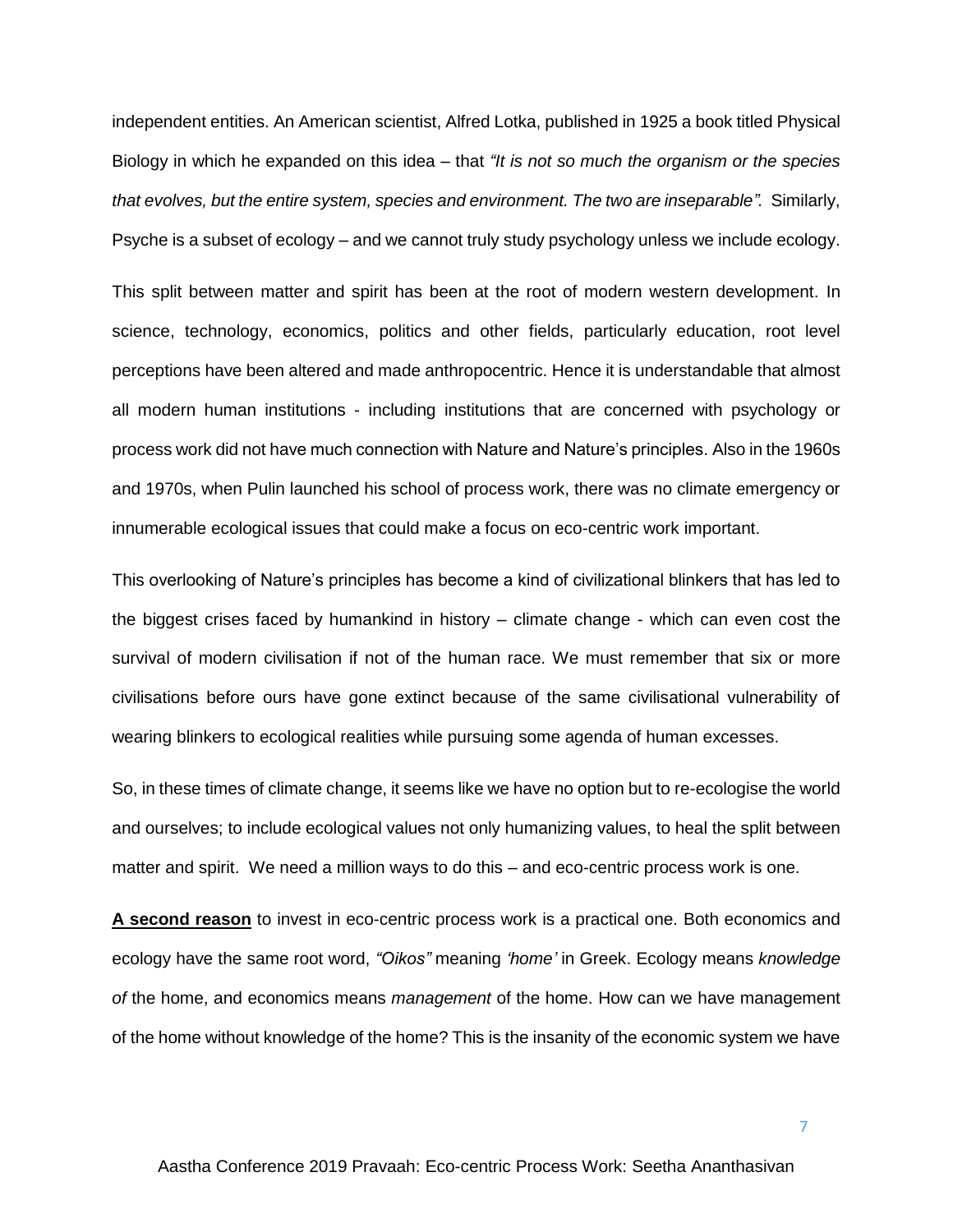independent entities. An American scientist, Alfred Lotka, published in 1925 a book titled Physical Biology in which he expanded on this idea – that *"It is not so much the organism or the species that evolves, but the entire system, species and environment. The two are inseparable".* Similarly, Psyche is a subset of ecology – and we cannot truly study psychology unless we include ecology.

This split between matter and spirit has been at the root of modern western development. In science, technology, economics, politics and other fields, particularly education, root level perceptions have been altered and made anthropocentric. Hence it is understandable that almost all modern human institutions - including institutions that are concerned with psychology or process work did not have much connection with Nature and Nature's principles. Also in the 1960s and 1970s, when Pulin launched his school of process work, there was no climate emergency or innumerable ecological issues that could make a focus on eco-centric work important.

This overlooking of Nature's principles has become a kind of civilizational blinkers that has led to the biggest crises faced by humankind in history – climate change - which can even cost the survival of modern civilisation if not of the human race. We must remember that six or more civilisations before ours have gone extinct because of the same civilisational vulnerability of wearing blinkers to ecological realities while pursuing some agenda of human excesses.

So, in these times of climate change, it seems like we have no option but to re-ecologise the world and ourselves; to include ecological values not only humanizing values, to heal the split between matter and spirit. We need a million ways to do this – and eco-centric process work is one.

**A second reason** to invest in eco-centric process work is a practical one. Both economics and ecology have the same root word, *"Oikos"* meaning *'home'* in Greek. Ecology means *knowledge of* the home, and economics means *management* of the home. How can we have management of the home without knowledge of the home? This is the insanity of the economic system we have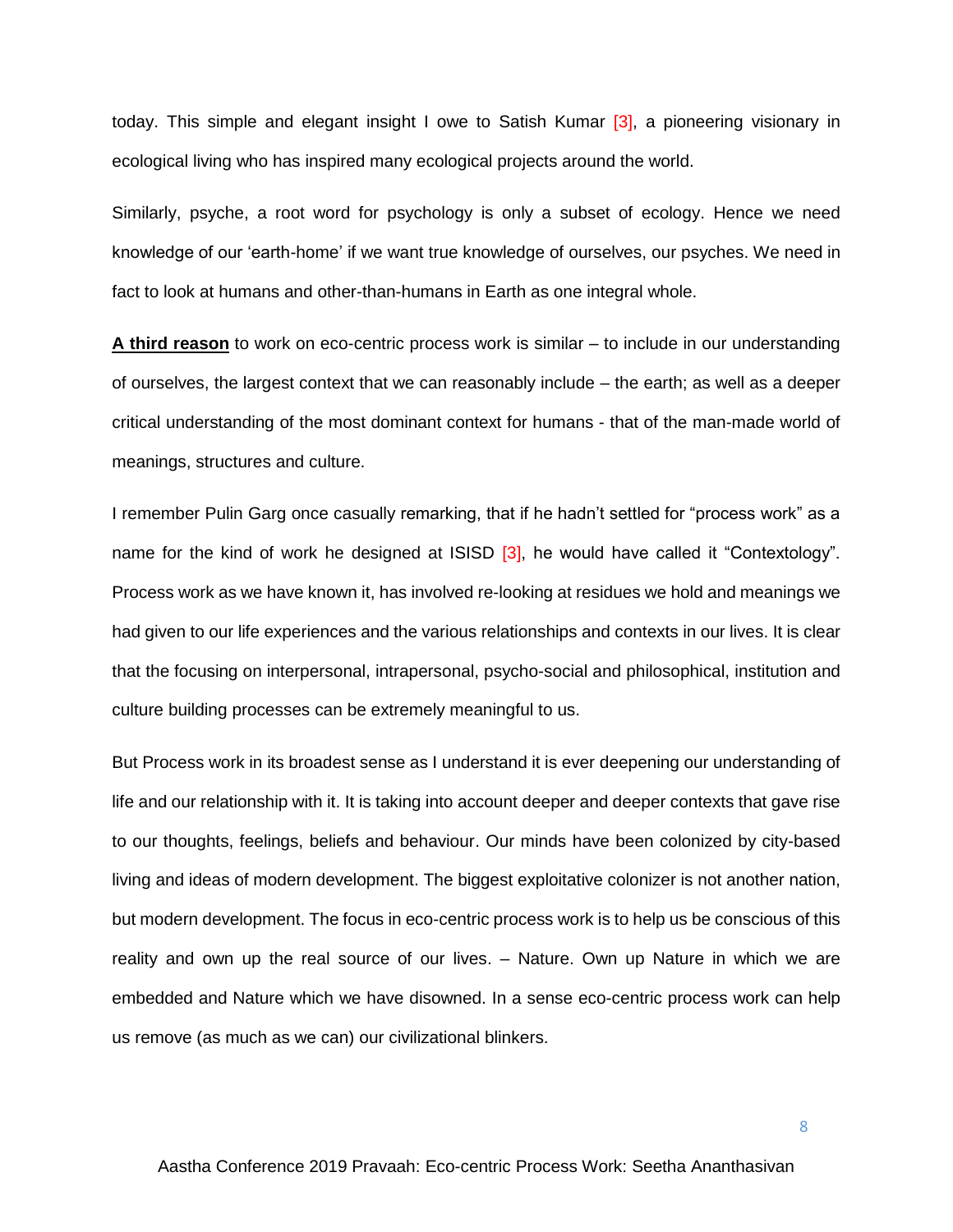today. This simple and elegant insight I owe to Satish Kumar [3], a pioneering visionary in ecological living who has inspired many ecological projects around the world.

Similarly, psyche, a root word for psychology is only a subset of ecology. Hence we need knowledge of our 'earth-home' if we want true knowledge of ourselves, our psyches. We need in fact to look at humans and other-than-humans in Earth as one integral whole.

**A third reason** to work on eco-centric process work is similar – to include in our understanding of ourselves, the largest context that we can reasonably include – the earth; as well as a deeper critical understanding of the most dominant context for humans - that of the man-made world of meanings, structures and culture.

I remember Pulin Garg once casually remarking, that if he hadn't settled for "process work" as a name for the kind of work he designed at ISISD [3], he would have called it "Contextology". Process work as we have known it, has involved re-looking at residues we hold and meanings we had given to our life experiences and the various relationships and contexts in our lives. It is clear that the focusing on interpersonal, intrapersonal, psycho-social and philosophical, institution and culture building processes can be extremely meaningful to us.

But Process work in its broadest sense as I understand it is ever deepening our understanding of life and our relationship with it. It is taking into account deeper and deeper contexts that gave rise to our thoughts, feelings, beliefs and behaviour. Our minds have been colonized by city-based living and ideas of modern development. The biggest exploitative colonizer is not another nation, but modern development. The focus in eco-centric process work is to help us be conscious of this reality and own up the real source of our lives. – Nature. Own up Nature in which we are embedded and Nature which we have disowned. In a sense eco-centric process work can help us remove (as much as we can) our civilizational blinkers.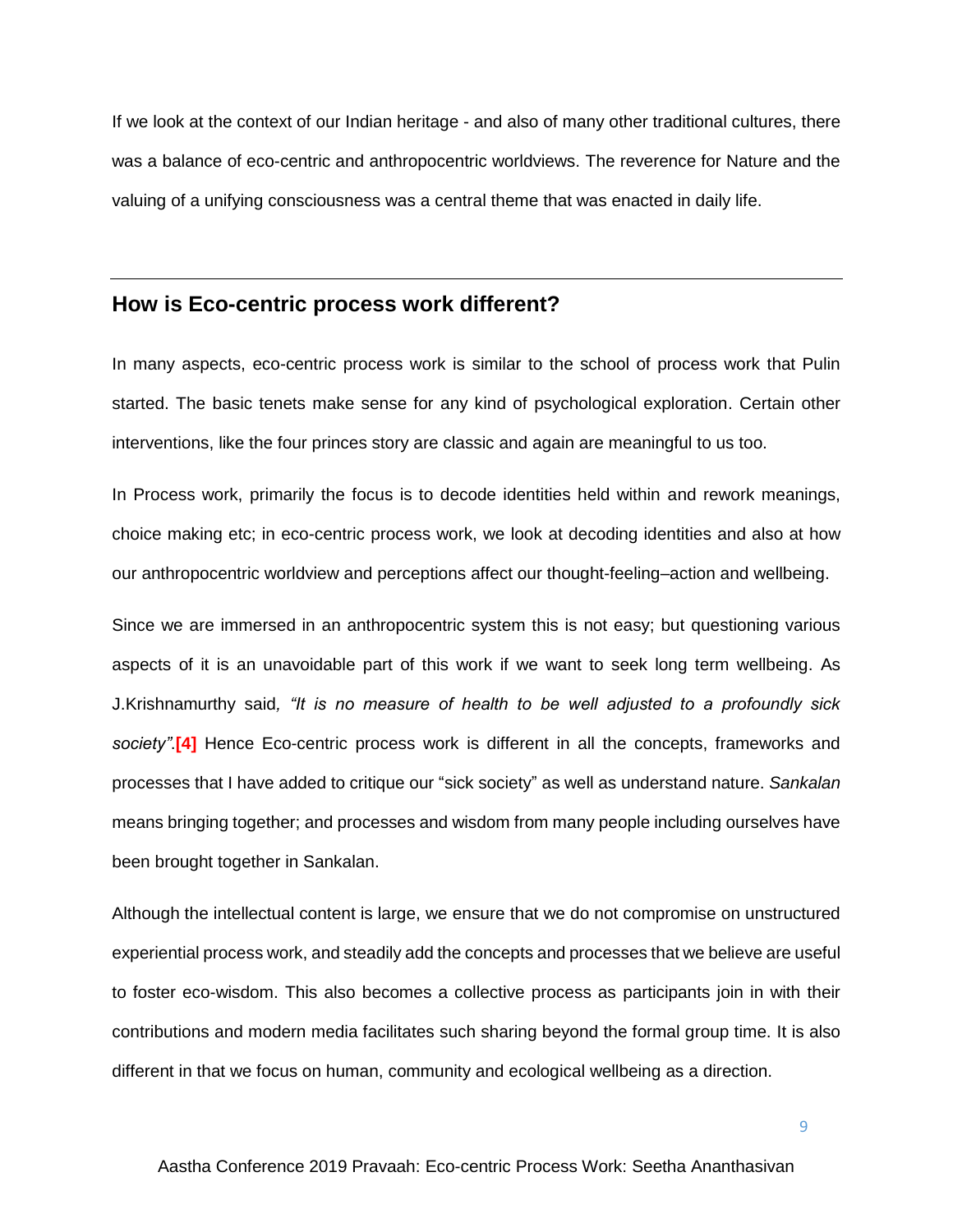If we look at the context of our Indian heritage - and also of many other traditional cultures, there was a balance of eco-centric and anthropocentric worldviews. The reverence for Nature and the valuing of a unifying consciousness was a central theme that was enacted in daily life.

## **How is Eco-centric process work different?**

In many aspects, eco-centric process work is similar to the school of process work that Pulin started. The basic tenets make sense for any kind of psychological exploration. Certain other interventions, like the four princes story are classic and again are meaningful to us too.

In Process work, primarily the focus is to decode identities held within and rework meanings, choice making etc; in eco-centric process work, we look at decoding identities and also at how our anthropocentric worldview and perceptions affect our thought-feeling–action and wellbeing.

Since we are immersed in an anthropocentric system this is not easy; but questioning various aspects of it is an unavoidable part of this work if we want to seek long term wellbeing. As J.Krishnamurthy said*, "It is no measure of health to be well adjusted to a profoundly sick society"*.**[4]** Hence Eco-centric process work is different in all the concepts, frameworks and processes that I have added to critique our "sick society" as well as understand nature. *Sankalan* means bringing together; and processes and wisdom from many people including ourselves have been brought together in Sankalan.

Although the intellectual content is large, we ensure that we do not compromise on unstructured experiential process work, and steadily add the concepts and processes that we believe are useful to foster eco-wisdom. This also becomes a collective process as participants join in with their contributions and modern media facilitates such sharing beyond the formal group time. It is also different in that we focus on human, community and ecological wellbeing as a direction.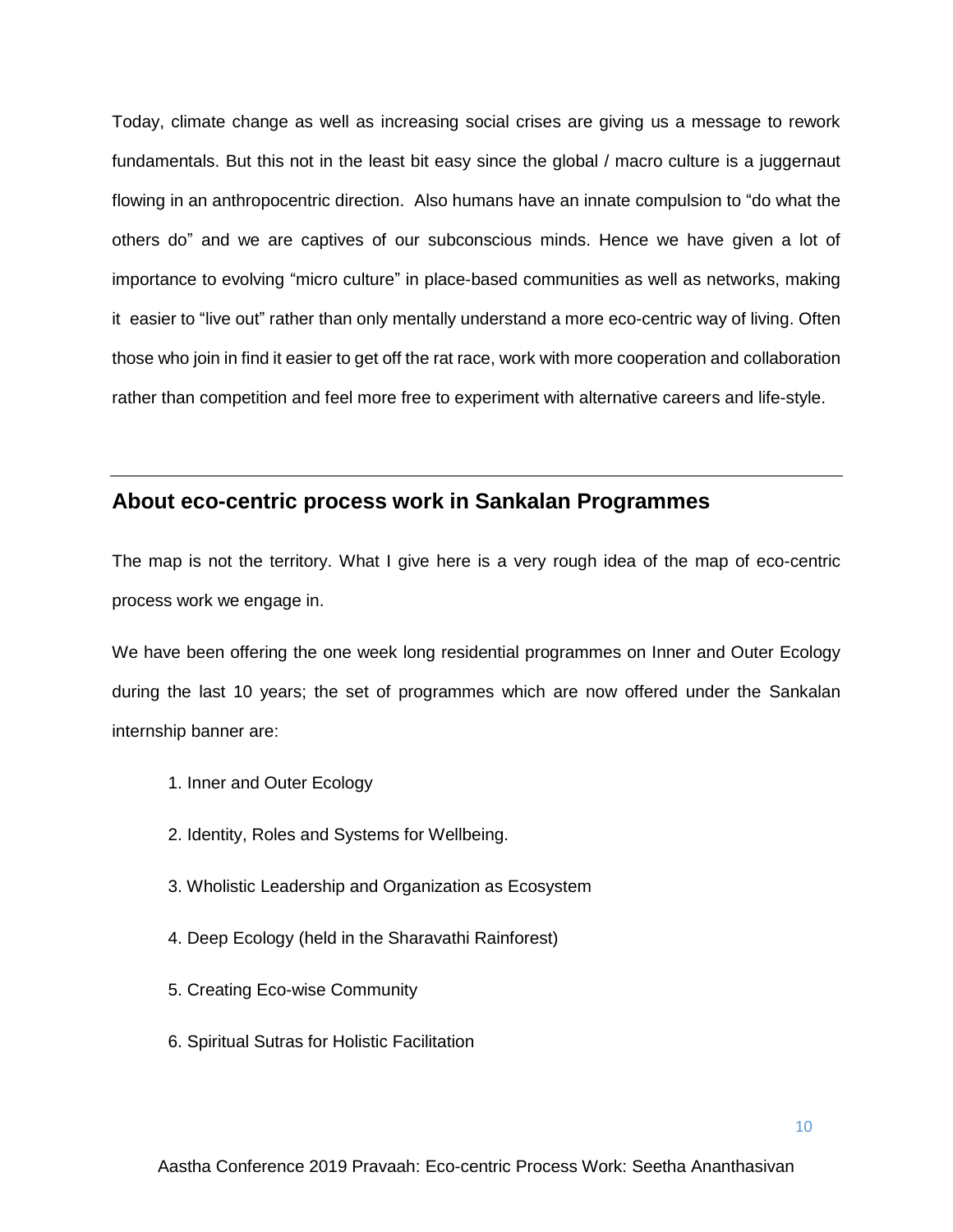Today, climate change as well as increasing social crises are giving us a message to rework fundamentals. But this not in the least bit easy since the global / macro culture is a juggernaut flowing in an anthropocentric direction. Also humans have an innate compulsion to "do what the others do" and we are captives of our subconscious minds. Hence we have given a lot of importance to evolving "micro culture" in place-based communities as well as networks, making it easier to "live out" rather than only mentally understand a more eco-centric way of living. Often those who join in find it easier to get off the rat race, work with more cooperation and collaboration rather than competition and feel more free to experiment with alternative careers and life-style.

## **About eco-centric process work in Sankalan Programmes**

The map is not the territory. What I give here is a very rough idea of the map of eco-centric process work we engage in.

We have been offering the one week long residential programmes on Inner and Outer Ecology during the last 10 years; the set of programmes which are now offered under the Sankalan internship banner are:

- 1. Inner and Outer Ecology
- 2. Identity, Roles and Systems for Wellbeing.
- 3. Wholistic Leadership and Organization as Ecosystem
- 4. Deep Ecology (held in the Sharavathi Rainforest)
- 5. Creating Eco-wise Community
- 6. Spiritual Sutras for Holistic Facilitation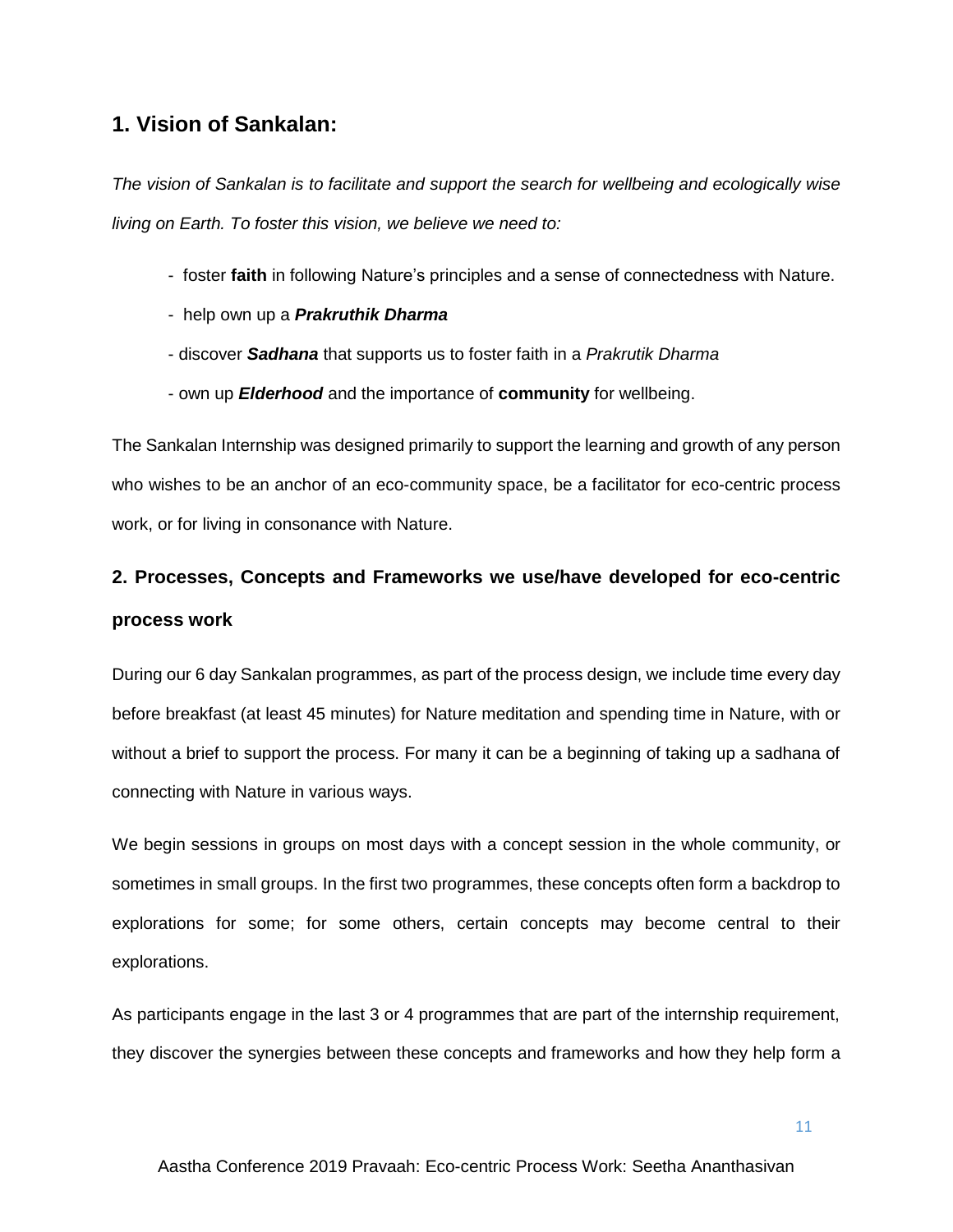## **1. Vision of Sankalan:**

*The vision of Sankalan is to facilitate and support the search for wellbeing and ecologically wise living on Earth. To foster this vision, we believe we need to:*

- foster **faith** in following Nature's principles and a sense of connectedness with Nature.
- help own up a *Prakruthik Dharma*
- discover *Sadhana* that supports us to foster faith in a *Prakrutik Dharma*
- own up *Elderhood* and the importance of **community** for wellbeing.

The Sankalan Internship was designed primarily to support the learning and growth of any person who wishes to be an anchor of an eco-community space, be a facilitator for eco-centric process work, or for living in consonance with Nature.

# **2. Processes, Concepts and Frameworks we use/have developed for eco-centric process work**

During our 6 day Sankalan programmes, as part of the process design, we include time every day before breakfast (at least 45 minutes) for Nature meditation and spending time in Nature, with or without a brief to support the process. For many it can be a beginning of taking up a sadhana of connecting with Nature in various ways.

We begin sessions in groups on most days with a concept session in the whole community, or sometimes in small groups. In the first two programmes, these concepts often form a backdrop to explorations for some; for some others, certain concepts may become central to their explorations.

As participants engage in the last 3 or 4 programmes that are part of the internship requirement, they discover the synergies between these concepts and frameworks and how they help form a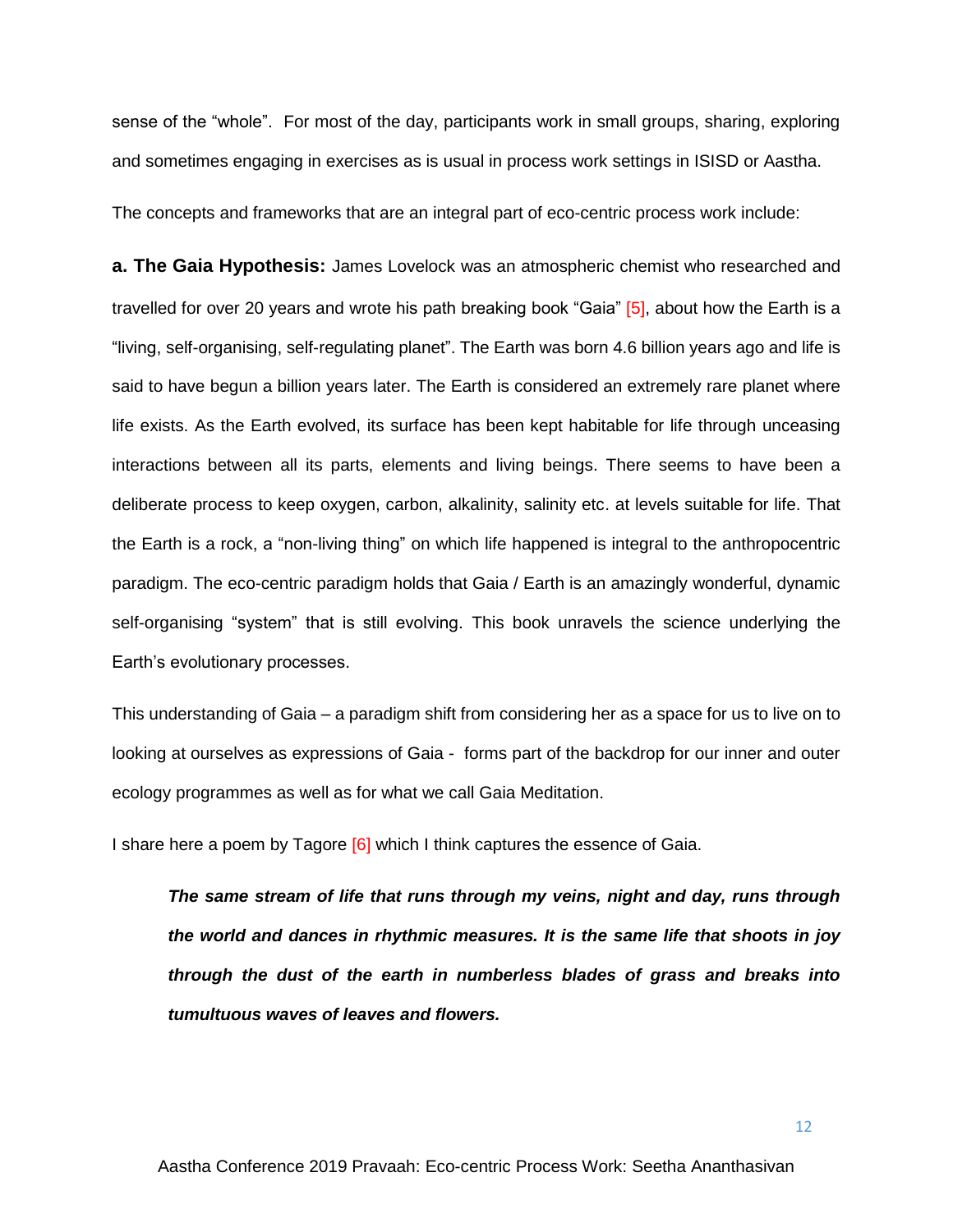sense of the "whole". For most of the day, participants work in small groups, sharing, exploring and sometimes engaging in exercises as is usual in process work settings in ISISD or Aastha.

The concepts and frameworks that are an integral part of eco-centric process work include:

**a. The Gaia Hypothesis:** James Lovelock was an atmospheric chemist who researched and travelled for over 20 years and wrote his path breaking book "Gaia" [5], about how the Earth is a "living, self-organising, self-regulating planet". The Earth was born 4.6 billion years ago and life is said to have begun a billion years later. The Earth is considered an extremely rare planet where life exists. As the Earth evolved, its surface has been kept habitable for life through unceasing interactions between all its parts, elements and living beings. There seems to have been a deliberate process to keep oxygen, carbon, alkalinity, salinity etc. at levels suitable for life. That the Earth is a rock, a "non-living thing" on which life happened is integral to the anthropocentric paradigm. The eco-centric paradigm holds that Gaia / Earth is an amazingly wonderful, dynamic self-organising "system" that is still evolving. This book unravels the science underlying the Earth's evolutionary processes.

This understanding of Gaia – a paradigm shift from considering her as a space for us to live on to looking at ourselves as expressions of Gaia - forms part of the backdrop for our inner and outer ecology programmes as well as for what we call Gaia Meditation.

I share here a poem by Tagore [6] which I think captures the essence of Gaia.

*The same stream of life that runs through my veins, night and day, runs through the world and dances in rhythmic measures. It is the same life that shoots in joy through the dust of the earth in numberless blades of grass and breaks into tumultuous waves of leaves and flowers.*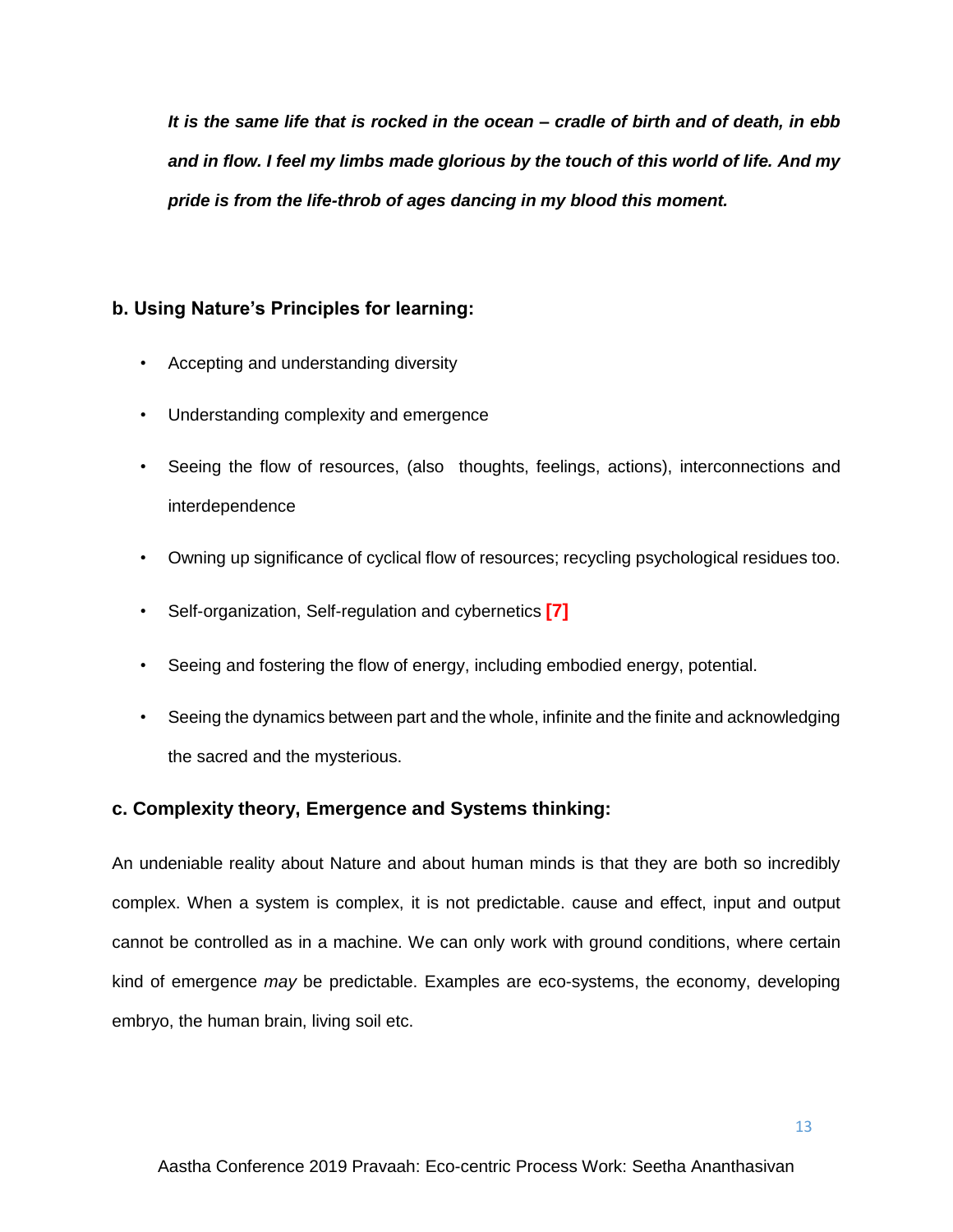*It is the same life that is rocked in the ocean – cradle of birth and of death, in ebb and in flow. I feel my limbs made glorious by the touch of this world of life. And my pride is from the life-throb of ages dancing in my blood this moment.*

## **b. Using Nature's Principles for learning:**

- Accepting and understanding diversity
- Understanding complexity and emergence
- Seeing the flow of resources, (also thoughts, feelings, actions), interconnections and interdependence
- Owning up significance of cyclical flow of resources; recycling psychological residues too.
- Self-organization, Self-regulation and cybernetics **[7]**
- Seeing and fostering the flow of energy, including embodied energy, potential.
- Seeing the dynamics between part and the whole, infinite and the finite and acknowledging the sacred and the mysterious.

## **c. Complexity theory, Emergence and Systems thinking:**

An undeniable reality about Nature and about human minds is that they are both so incredibly complex. When a system is complex, it is not predictable. cause and effect, input and output cannot be controlled as in a machine. We can only work with ground conditions, where certain kind of emergence *may* be predictable. Examples are eco-systems, the economy, developing embryo, the human brain, living soil etc.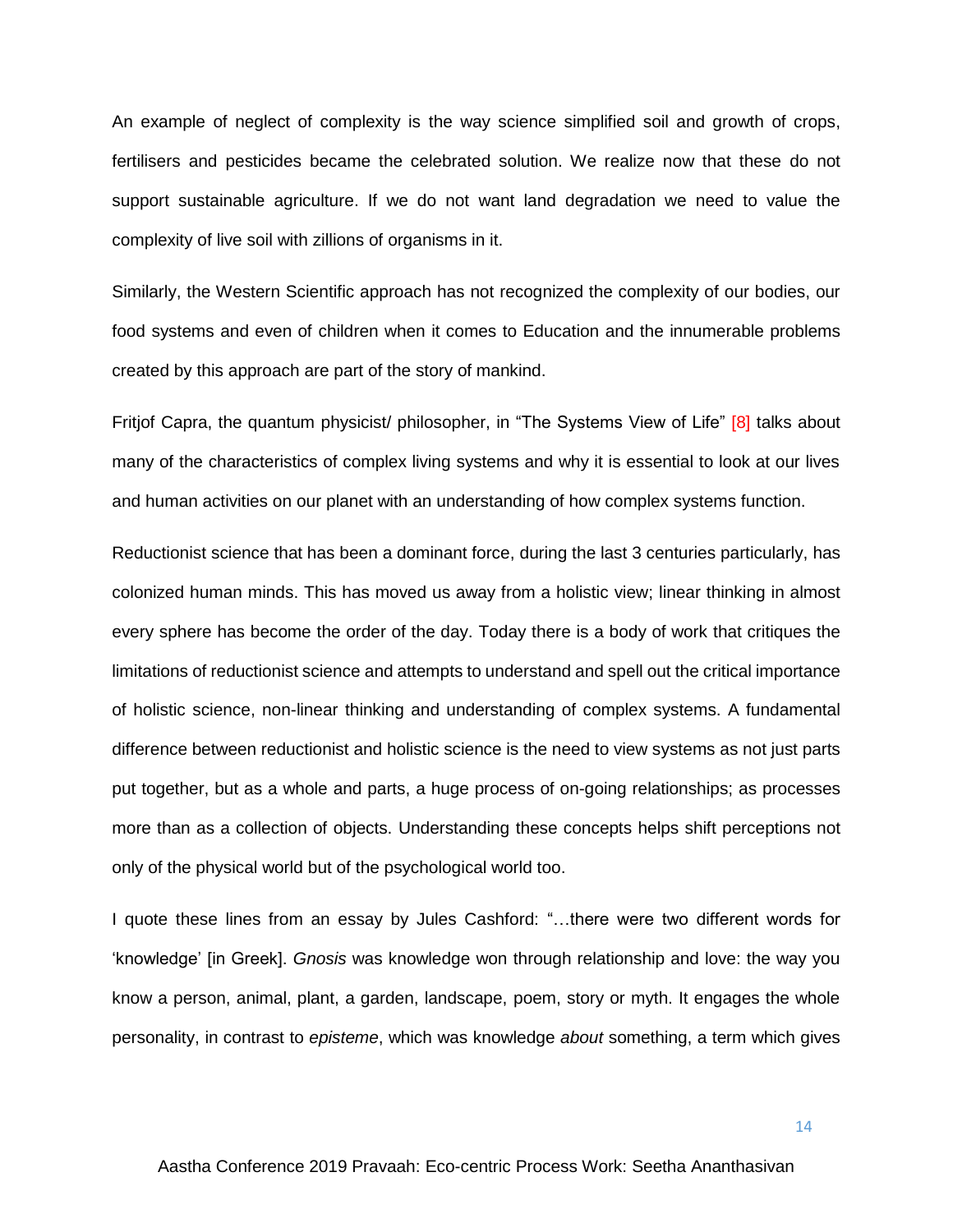An example of neglect of complexity is the way science simplified soil and growth of crops, fertilisers and pesticides became the celebrated solution. We realize now that these do not support sustainable agriculture. If we do not want land degradation we need to value the complexity of live soil with zillions of organisms in it.

Similarly, the Western Scientific approach has not recognized the complexity of our bodies, our food systems and even of children when it comes to Education and the innumerable problems created by this approach are part of the story of mankind.

Fritjof Capra, the quantum physicist/ philosopher, in "The Systems View of Life" [8] talks about many of the characteristics of complex living systems and why it is essential to look at our lives and human activities on our planet with an understanding of how complex systems function.

Reductionist science that has been a dominant force, during the last 3 centuries particularly, has colonized human minds. This has moved us away from a holistic view; linear thinking in almost every sphere has become the order of the day. Today there is a body of work that critiques the limitations of reductionist science and attempts to understand and spell out the critical importance of holistic science, non-linear thinking and understanding of complex systems. A fundamental difference between reductionist and holistic science is the need to view systems as not just parts put together, but as a whole and parts, a huge process of on-going relationships; as processes more than as a collection of objects. Understanding these concepts helps shift perceptions not only of the physical world but of the psychological world too.

I quote these lines from an essay by Jules Cashford: "…there were two different words for 'knowledge' [in Greek]. *Gnosis* was knowledge won through relationship and love: the way you know a person, animal, plant, a garden, landscape, poem, story or myth. It engages the whole personality, in contrast to *episteme*, which was knowledge *about* something, a term which gives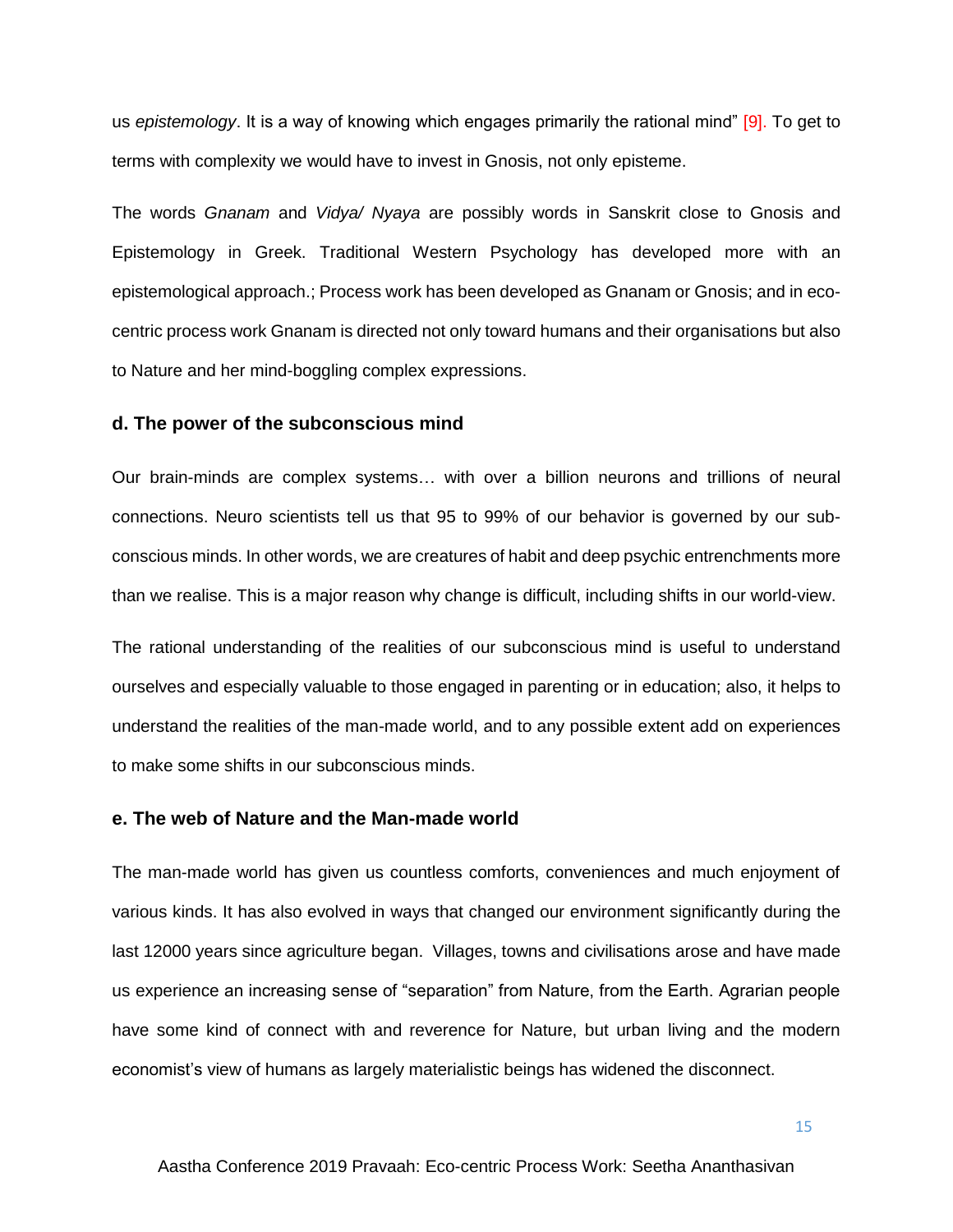us *epistemology*. It is a way of knowing which engages primarily the rational mind" [9]. To get to terms with complexity we would have to invest in Gnosis, not only episteme.

The words *Gnanam* and *Vidya/ Nyaya* are possibly words in Sanskrit close to Gnosis and Epistemology in Greek. Traditional Western Psychology has developed more with an epistemological approach.; Process work has been developed as Gnanam or Gnosis; and in ecocentric process work Gnanam is directed not only toward humans and their organisations but also to Nature and her mind-boggling complex expressions.

#### **d. The power of the subconscious mind**

Our brain-minds are complex systems… with over a billion neurons and trillions of neural connections. Neuro scientists tell us that 95 to 99% of our behavior is governed by our subconscious minds. In other words, we are creatures of habit and deep psychic entrenchments more than we realise. This is a major reason why change is difficult, including shifts in our world-view.

The rational understanding of the realities of our subconscious mind is useful to understand ourselves and especially valuable to those engaged in parenting or in education; also, it helps to understand the realities of the man-made world, and to any possible extent add on experiences to make some shifts in our subconscious minds.

#### **e. The web of Nature and the Man-made world**

The man-made world has given us countless comforts, conveniences and much enjoyment of various kinds. It has also evolved in ways that changed our environment significantly during the last 12000 years since agriculture began. Villages, towns and civilisations arose and have made us experience an increasing sense of "separation" from Nature, from the Earth. Agrarian people have some kind of connect with and reverence for Nature, but urban living and the modern economist's view of humans as largely materialistic beings has widened the disconnect.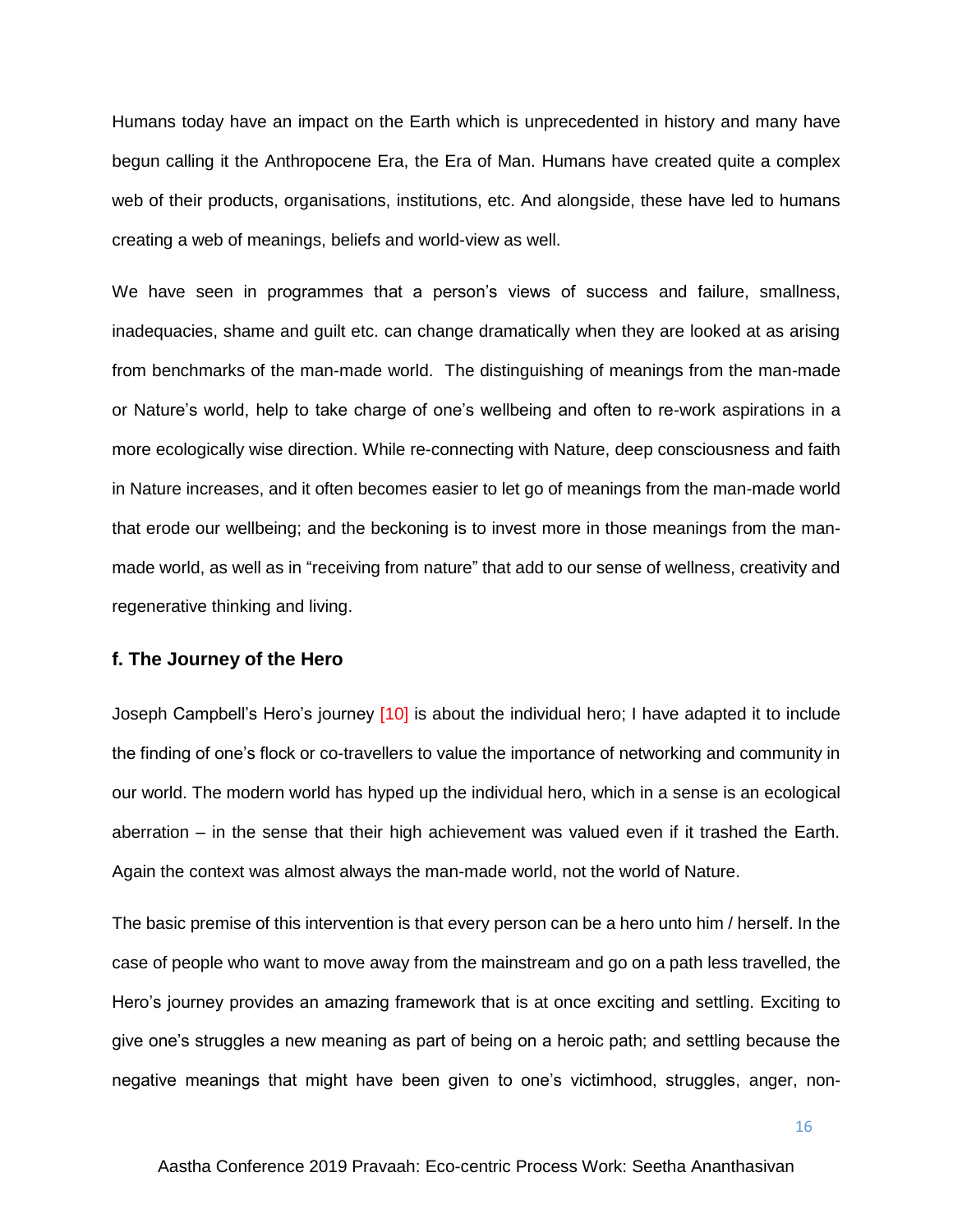Humans today have an impact on the Earth which is unprecedented in history and many have begun calling it the Anthropocene Era, the Era of Man. Humans have created quite a complex web of their products, organisations, institutions, etc. And alongside, these have led to humans creating a web of meanings, beliefs and world-view as well.

We have seen in programmes that a person's views of success and failure, smallness, inadequacies, shame and guilt etc. can change dramatically when they are looked at as arising from benchmarks of the man-made world. The distinguishing of meanings from the man-made or Nature's world, help to take charge of one's wellbeing and often to re-work aspirations in a more ecologically wise direction. While re-connecting with Nature, deep consciousness and faith in Nature increases, and it often becomes easier to let go of meanings from the man-made world that erode our wellbeing; and the beckoning is to invest more in those meanings from the manmade world, as well as in "receiving from nature" that add to our sense of wellness, creativity and regenerative thinking and living.

#### **f. The Journey of the Hero**

Joseph Campbell's Hero's journey [10] is about the individual hero; I have adapted it to include the finding of one's flock or co-travellers to value the importance of networking and community in our world. The modern world has hyped up the individual hero, which in a sense is an ecological aberration – in the sense that their high achievement was valued even if it trashed the Earth. Again the context was almost always the man-made world, not the world of Nature.

The basic premise of this intervention is that every person can be a hero unto him / herself. In the case of people who want to move away from the mainstream and go on a path less travelled, the Hero's journey provides an amazing framework that is at once exciting and settling. Exciting to give one's struggles a new meaning as part of being on a heroic path; and settling because the negative meanings that might have been given to one's victimhood, struggles, anger, non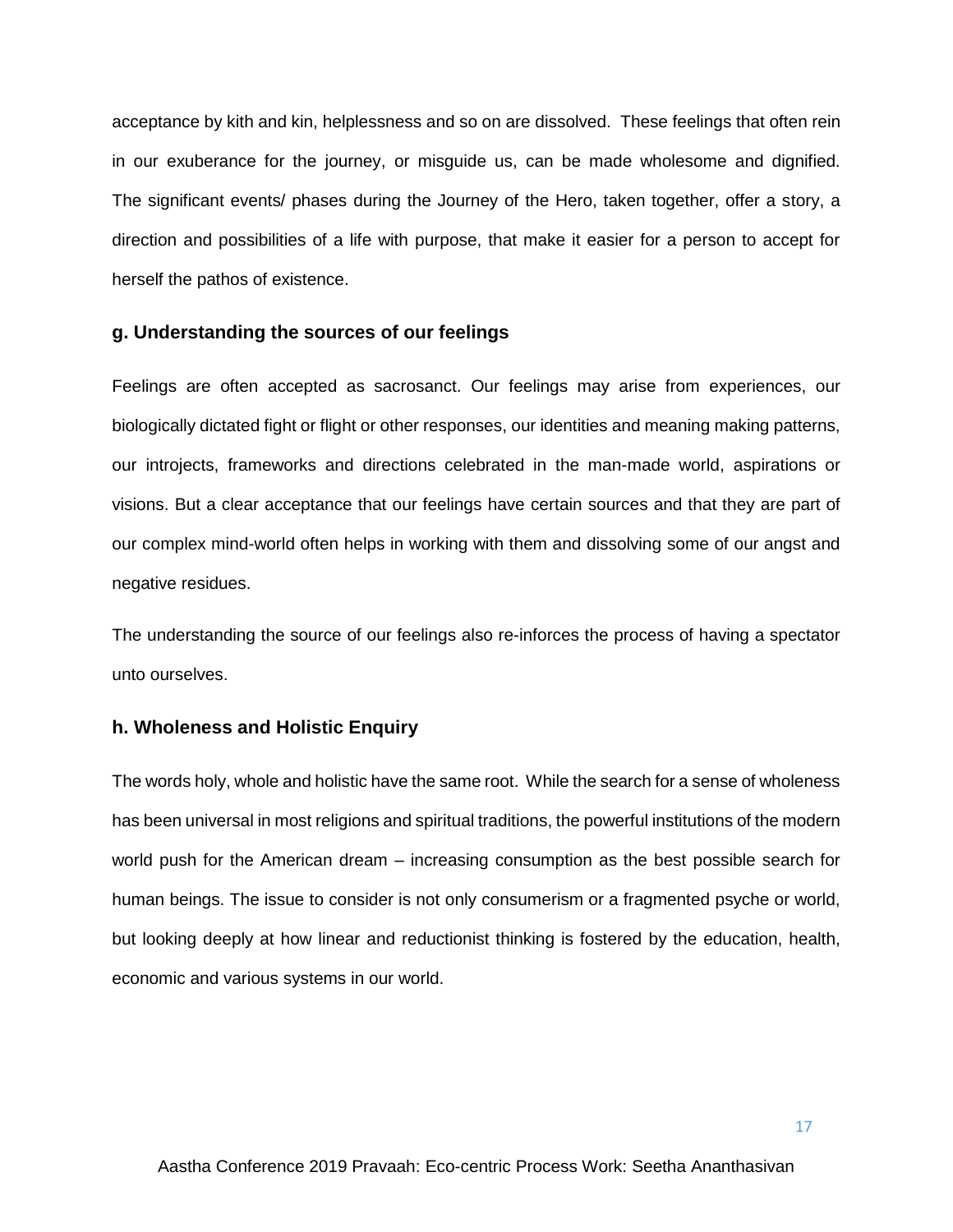acceptance by kith and kin, helplessness and so on are dissolved. These feelings that often rein in our exuberance for the journey, or misguide us, can be made wholesome and dignified. The significant events/ phases during the Journey of the Hero, taken together, offer a story, a direction and possibilities of a life with purpose, that make it easier for a person to accept for herself the pathos of existence.

#### **g. Understanding the sources of our feelings**

Feelings are often accepted as sacrosanct. Our feelings may arise from experiences, our biologically dictated fight or flight or other responses, our identities and meaning making patterns, our introjects, frameworks and directions celebrated in the man-made world, aspirations or visions. But a clear acceptance that our feelings have certain sources and that they are part of our complex mind-world often helps in working with them and dissolving some of our angst and negative residues.

The understanding the source of our feelings also re-inforces the process of having a spectator unto ourselves.

#### **h. Wholeness and Holistic Enquiry**

The words holy, whole and holistic have the same root. While the search for a sense of wholeness has been universal in most religions and spiritual traditions, the powerful institutions of the modern world push for the American dream – increasing consumption as the best possible search for human beings. The issue to consider is not only consumerism or a fragmented psyche or world, but looking deeply at how linear and reductionist thinking is fostered by the education, health, economic and various systems in our world.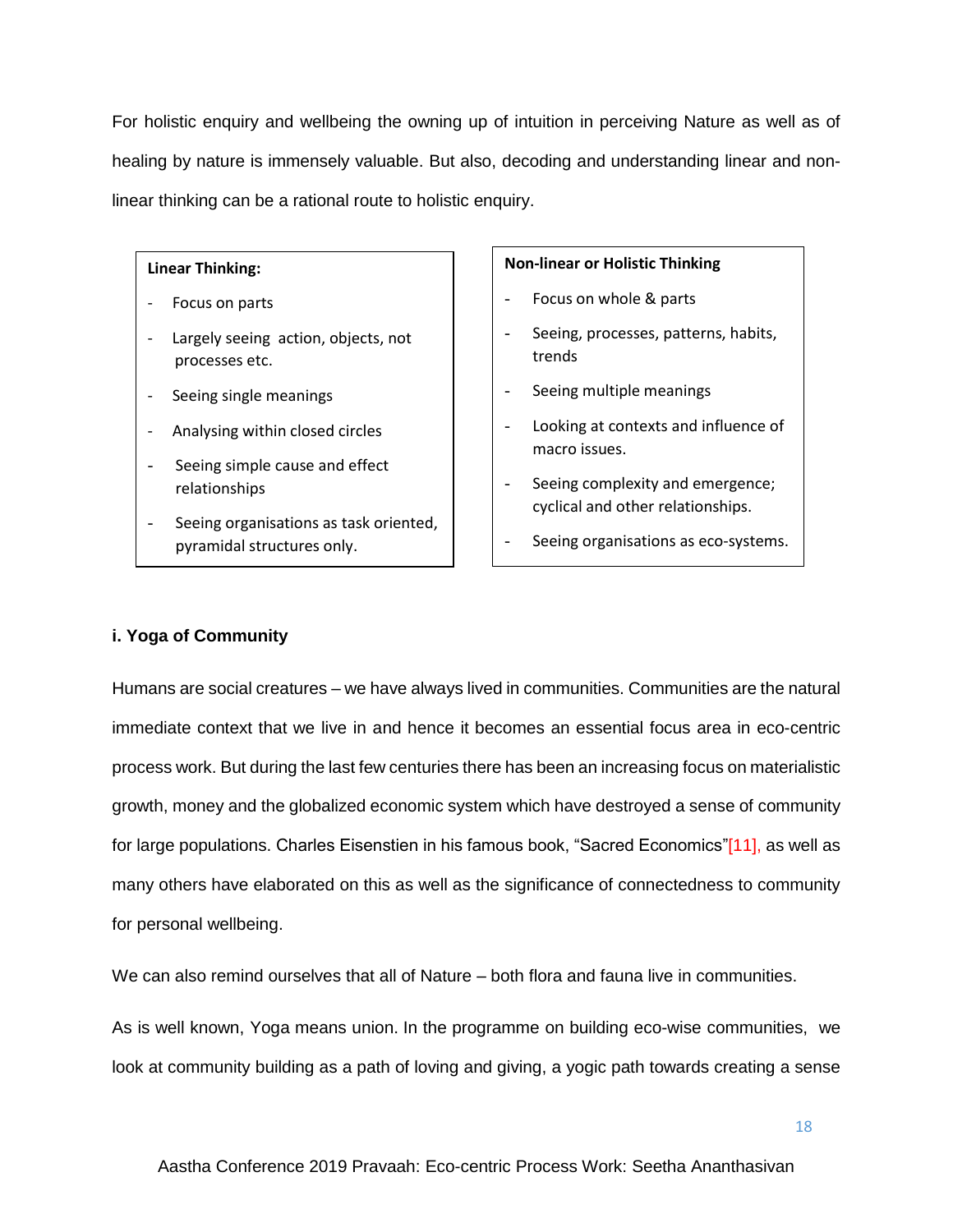For holistic enquiry and wellbeing the owning up of intuition in perceiving Nature as well as of healing by nature is immensely valuable. But also, decoding and understanding linear and nonlinear thinking can be a rational route to holistic enquiry.

#### **Linear Thinking:**

- Focus on parts
- Largely seeing action, objects, not processes etc.
- Seeing single meanings
- Analysing within closed circles
- Seeing simple cause and effect relationships
- Seeing organisations as task oriented, pyramidal structures only.

#### **Non-linear or Holistic Thinking**

- Focus on whole & parts
- Seeing, processes, patterns, habits, trends
- Seeing multiple meanings
- Looking at contexts and influence of macro issues.
- Seeing complexity and emergence; cyclical and other relationships.
- Seeing organisations as eco-systems.

## **i. Yoga of Community**

Humans are social creatures – we have always lived in communities. Communities are the natural immediate context that we live in and hence it becomes an essential focus area in eco-centric process work. But during the last few centuries there has been an increasing focus on materialistic growth, money and the globalized economic system which have destroyed a sense of community for large populations. Charles Eisenstien in his famous book, "Sacred Economics"[11], as well as many others have elaborated on this as well as the significance of connectedness to community for personal wellbeing.

We can also remind ourselves that all of Nature – both flora and fauna live in communities.

As is well known, Yoga means union. In the programme on building eco-wise communities, we look at community building as a path of loving and giving, a yogic path towards creating a sense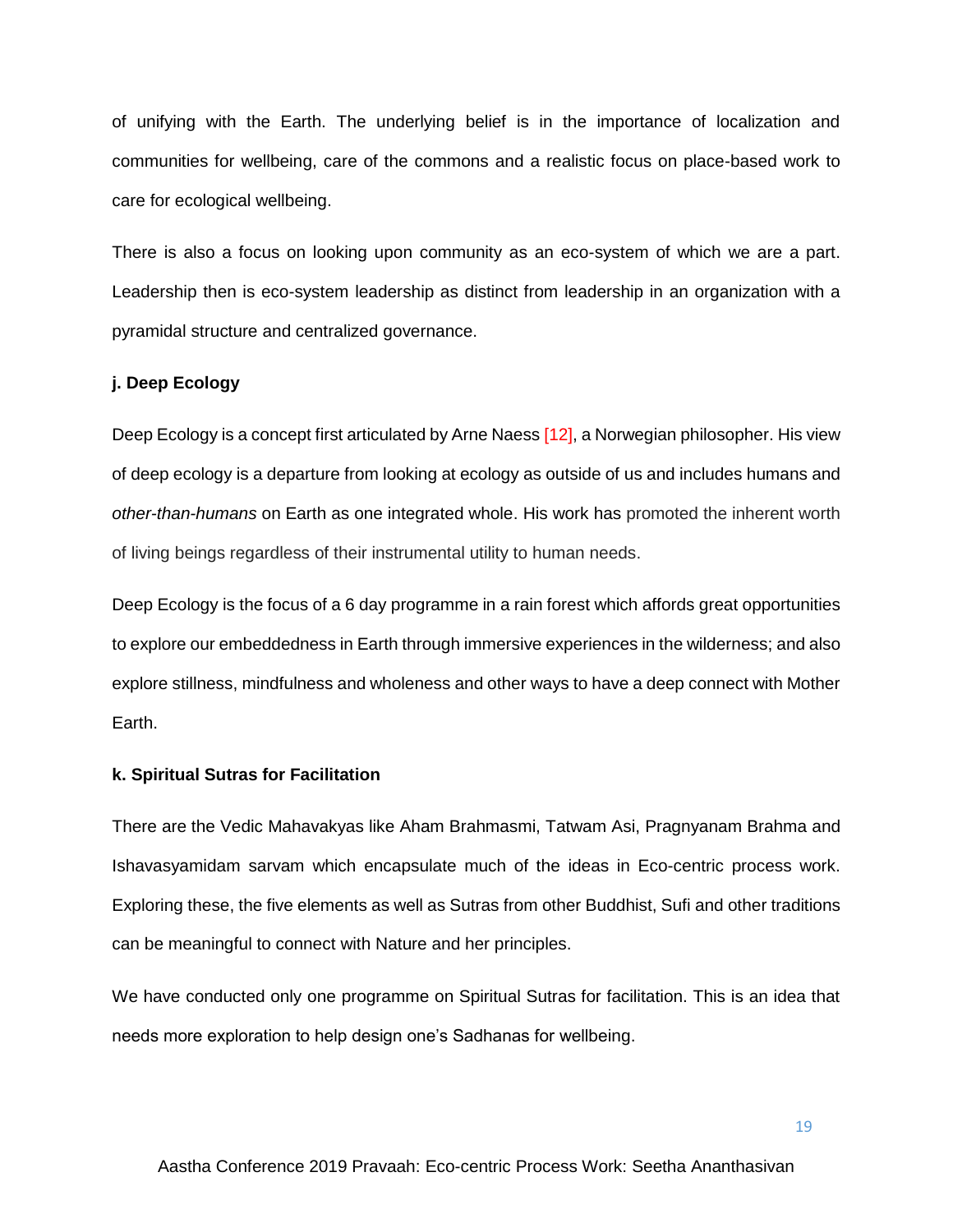of unifying with the Earth. The underlying belief is in the importance of localization and communities for wellbeing, care of the commons and a realistic focus on place-based work to care for ecological wellbeing.

There is also a focus on looking upon community as an eco-system of which we are a part. Leadership then is eco-system leadership as distinct from leadership in an organization with a pyramidal structure and centralized governance.

#### **j. Deep Ecology**

Deep Ecology is a concept first articulated by Arne Naess [12], a Norwegian philosopher. His view of deep ecology is a departure from looking at ecology as outside of us and includes humans and *other-than-humans* on Earth as one integrated whole. His work has promoted the inherent worth of living beings regardless of their instrumental utility to human needs.

Deep Ecology is the focus of a 6 day programme in a rain forest which affords great opportunities to explore our embeddedness in Earth through immersive experiences in the wilderness; and also explore stillness, mindfulness and wholeness and other ways to have a deep connect with Mother Earth.

#### **k. Spiritual Sutras for Facilitation**

There are the Vedic Mahavakyas like Aham Brahmasmi, Tatwam Asi, Pragnyanam Brahma and Ishavasyamidam sarvam which encapsulate much of the ideas in Eco-centric process work. Exploring these, the five elements as well as Sutras from other Buddhist, Sufi and other traditions can be meaningful to connect with Nature and her principles.

We have conducted only one programme on Spiritual Sutras for facilitation. This is an idea that needs more exploration to help design one's Sadhanas for wellbeing.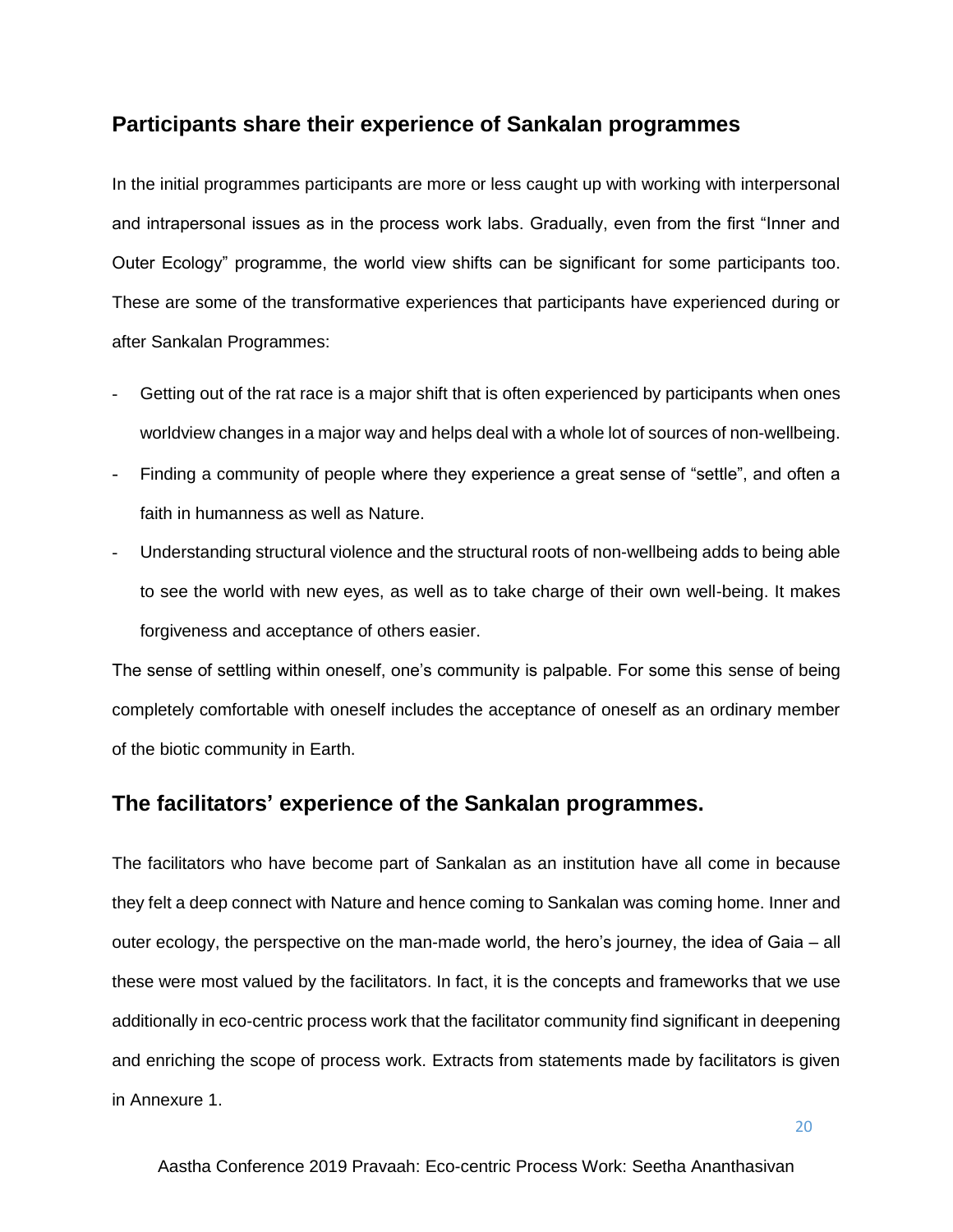## **Participants share their experience of Sankalan programmes**

In the initial programmes participants are more or less caught up with working with interpersonal and intrapersonal issues as in the process work labs. Gradually, even from the first "Inner and Outer Ecology" programme, the world view shifts can be significant for some participants too. These are some of the transformative experiences that participants have experienced during or after Sankalan Programmes:

- Getting out of the rat race is a major shift that is often experienced by participants when ones worldview changes in a major way and helps deal with a whole lot of sources of non-wellbeing.
- Finding a community of people where they experience a great sense of "settle", and often a faith in humanness as well as Nature.
- Understanding structural violence and the structural roots of non-wellbeing adds to being able to see the world with new eyes, as well as to take charge of their own well-being. It makes forgiveness and acceptance of others easier.

The sense of settling within oneself, one's community is palpable. For some this sense of being completely comfortable with oneself includes the acceptance of oneself as an ordinary member of the biotic community in Earth.

## **The facilitators' experience of the Sankalan programmes.**

The facilitators who have become part of Sankalan as an institution have all come in because they felt a deep connect with Nature and hence coming to Sankalan was coming home. Inner and outer ecology, the perspective on the man-made world, the hero's journey, the idea of Gaia – all these were most valued by the facilitators. In fact, it is the concepts and frameworks that we use additionally in eco-centric process work that the facilitator community find significant in deepening and enriching the scope of process work. Extracts from statements made by facilitators is given in Annexure 1.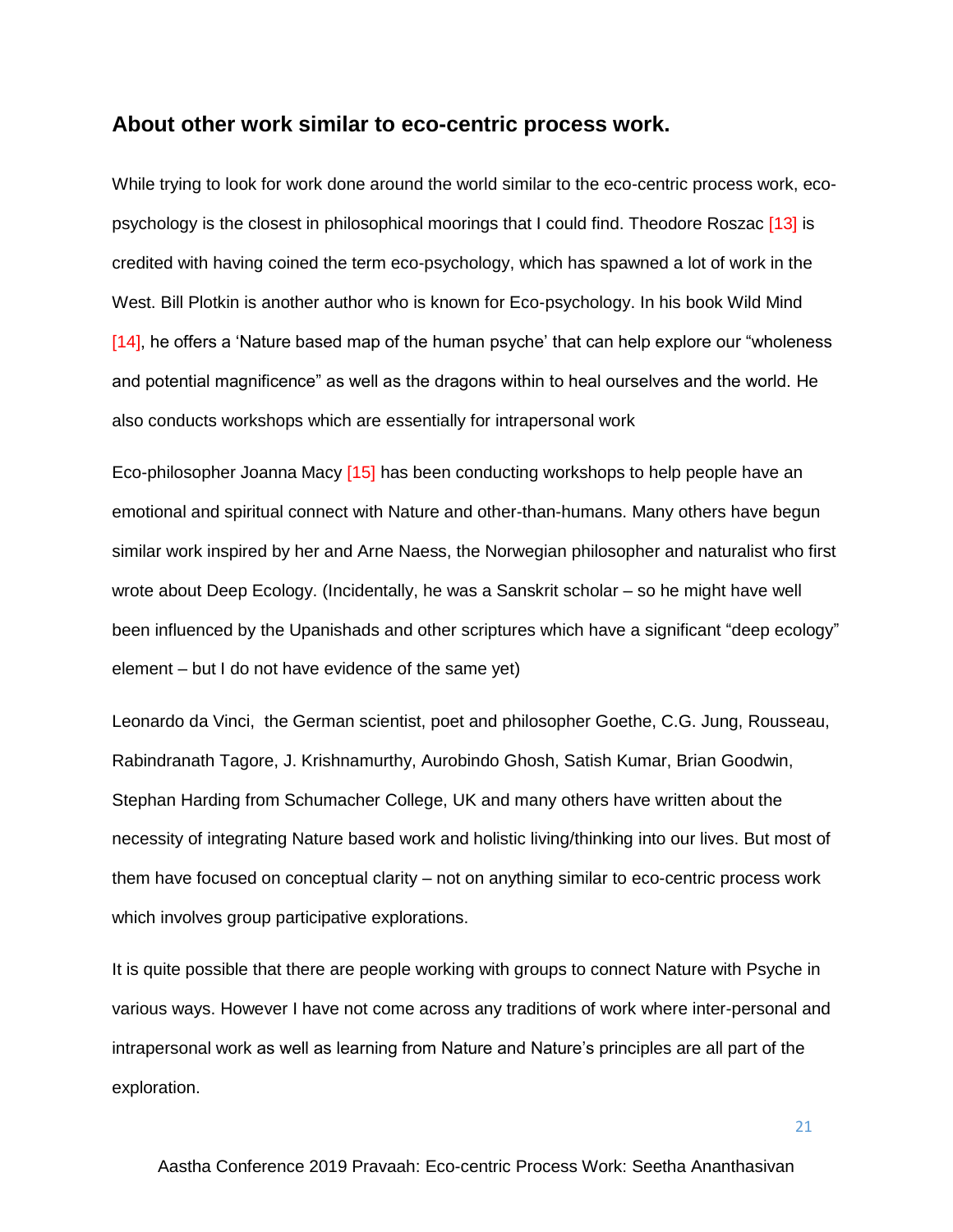## **About other work similar to eco-centric process work.**

While trying to look for work done around the world similar to the eco-centric process work, ecopsychology is the closest in philosophical moorings that I could find. Theodore Roszac [13] is credited with having coined the term eco-psychology, which has spawned a lot of work in the West. Bill Plotkin is another author who is known for Eco-psychology. In his book Wild Mind [14], he offers a 'Nature based map of the human psyche' that can help explore our "wholeness" and potential magnificence" as well as the dragons within to heal ourselves and the world. He also conducts workshops which are essentially for intrapersonal work

Eco-philosopher Joanna Macy [15] has been conducting workshops to help people have an emotional and spiritual connect with Nature and other-than-humans. Many others have begun similar work inspired by her and Arne Naess, the Norwegian philosopher and naturalist who first wrote about Deep Ecology. (Incidentally, he was a Sanskrit scholar – so he might have well been influenced by the Upanishads and other scriptures which have a significant "deep ecology" element – but I do not have evidence of the same yet)

Leonardo da Vinci, the German scientist, poet and philosopher Goethe, C.G. Jung, Rousseau, Rabindranath Tagore, J. Krishnamurthy, Aurobindo Ghosh, Satish Kumar, Brian Goodwin, Stephan Harding from Schumacher College, UK and many others have written about the necessity of integrating Nature based work and holistic living/thinking into our lives. But most of them have focused on conceptual clarity – not on anything similar to eco-centric process work which involves group participative explorations.

It is quite possible that there are people working with groups to connect Nature with Psyche in various ways. However I have not come across any traditions of work where inter-personal and intrapersonal work as well as learning from Nature and Nature's principles are all part of the exploration.

Aastha Conference 2019 Pravaah: Eco-centric Process Work: Seetha Ananthasivan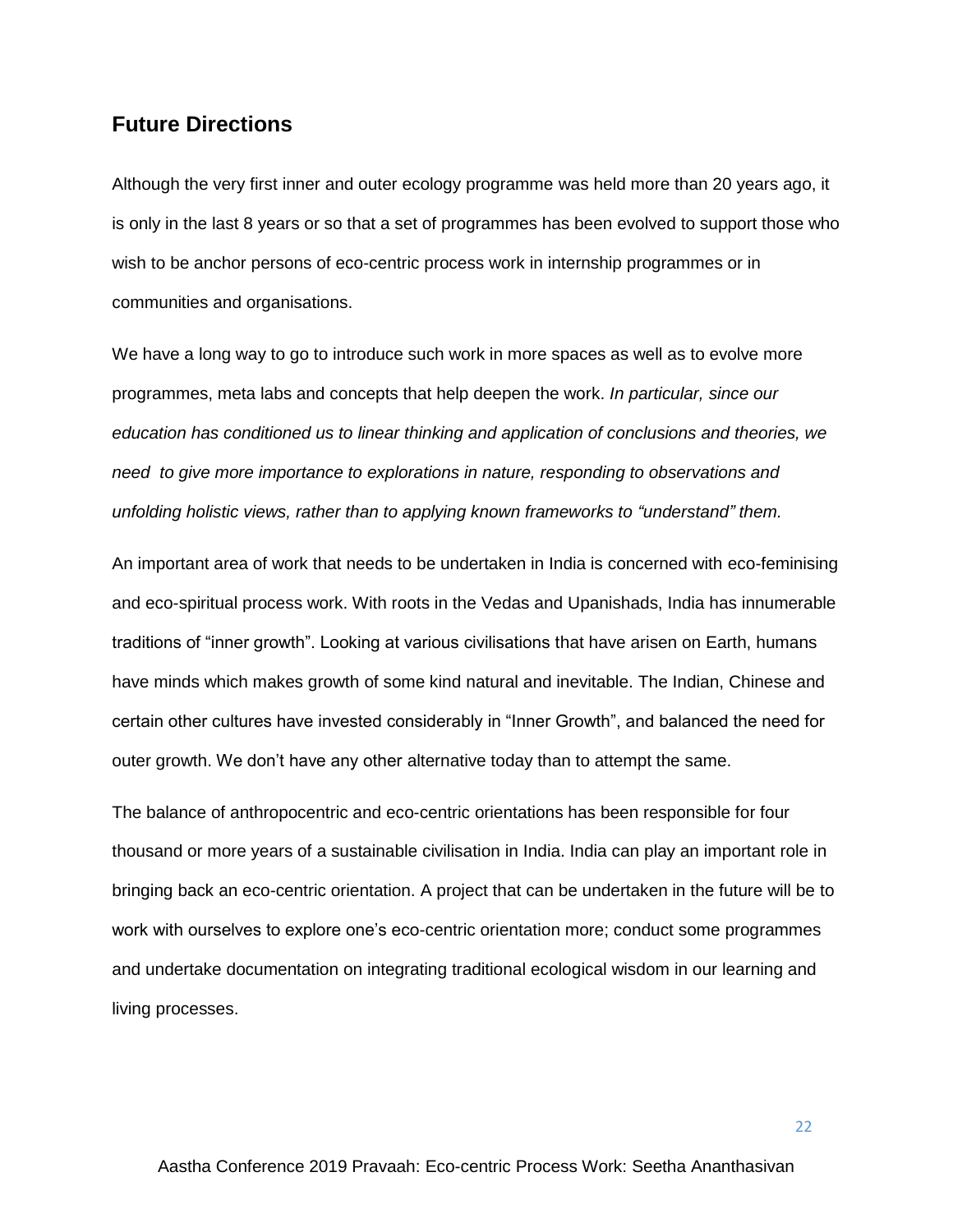## **Future Directions**

Although the very first inner and outer ecology programme was held more than 20 years ago, it is only in the last 8 years or so that a set of programmes has been evolved to support those who wish to be anchor persons of eco-centric process work in internship programmes or in communities and organisations.

We have a long way to go to introduce such work in more spaces as well as to evolve more programmes, meta labs and concepts that help deepen the work. *In particular, since our education has conditioned us to linear thinking and application of conclusions and theories, we need to give more importance to explorations in nature, responding to observations and unfolding holistic views, rather than to applying known frameworks to "understand" them.*

An important area of work that needs to be undertaken in India is concerned with eco-feminising and eco-spiritual process work. With roots in the Vedas and Upanishads, India has innumerable traditions of "inner growth". Looking at various civilisations that have arisen on Earth, humans have minds which makes growth of some kind natural and inevitable. The Indian, Chinese and certain other cultures have invested considerably in "Inner Growth", and balanced the need for outer growth. We don't have any other alternative today than to attempt the same.

The balance of anthropocentric and eco-centric orientations has been responsible for four thousand or more years of a sustainable civilisation in India. India can play an important role in bringing back an eco-centric orientation. A project that can be undertaken in the future will be to work with ourselves to explore one's eco-centric orientation more; conduct some programmes and undertake documentation on integrating traditional ecological wisdom in our learning and living processes.

Aastha Conference 2019 Pravaah: Eco-centric Process Work: Seetha Ananthasivan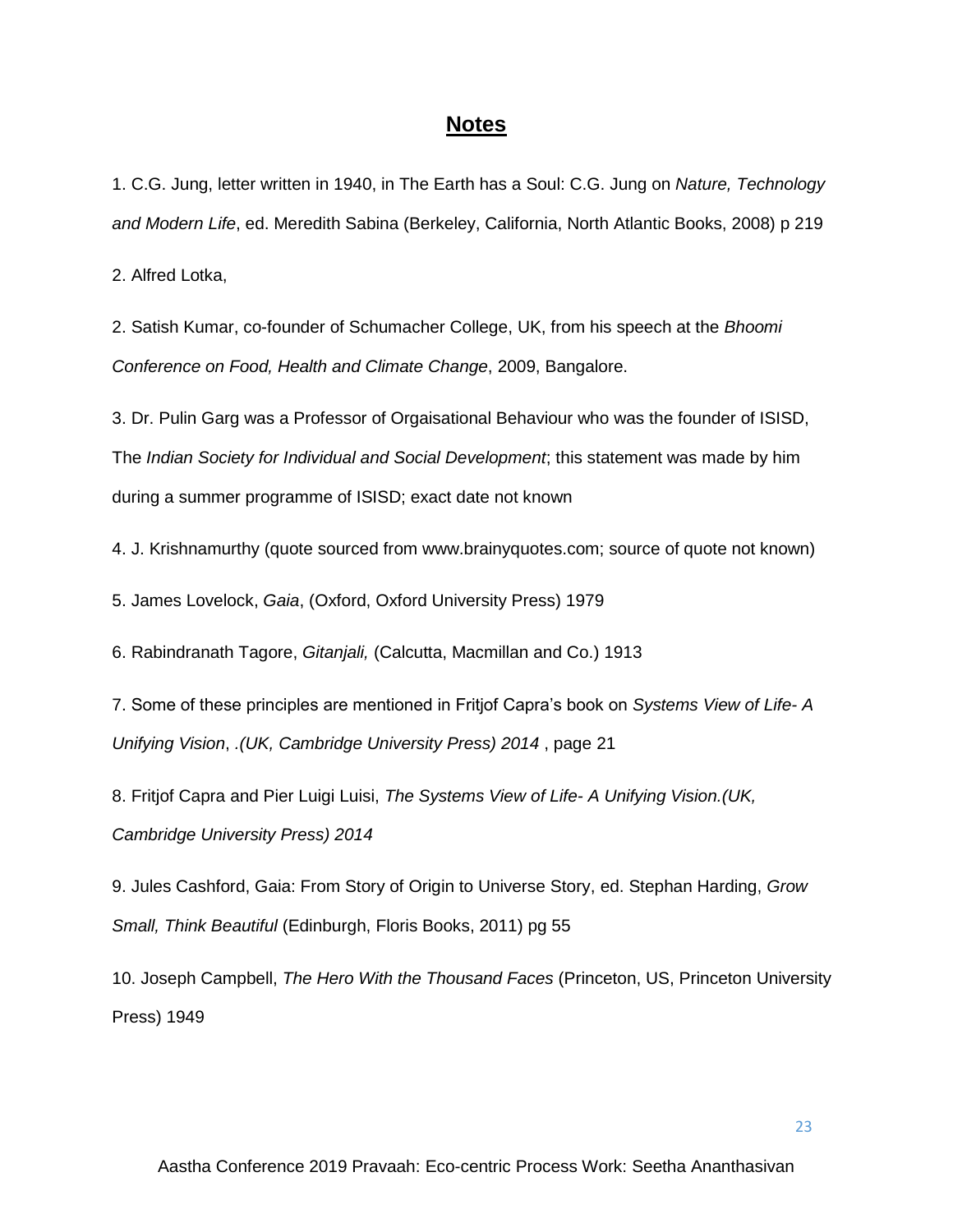## **Notes**

1. C.G. Jung, letter written in 1940, in The Earth has a Soul: C.G. Jung on *Nature, Technology and Modern Life*, ed. Meredith Sabina (Berkeley, California, North Atlantic Books, 2008) p 219

2. Alfred Lotka,

2. Satish Kumar, co-founder of Schumacher College, UK, from his speech at the *Bhoomi Conference on Food, Health and Climate Change*, 2009, Bangalore.

3. Dr. Pulin Garg was a Professor of Orgaisational Behaviour who was the founder of ISISD, The *Indian Society for Individual and Social Development*; this statement was made by him during a summer programme of ISISD; exact date not known

4. J. Krishnamurthy (quote sourced from www.brainyquotes.com; source of quote not known)

5. James Lovelock, *Gaia*, (Oxford, Oxford University Press) 1979

6. Rabindranath Tagore, *Gitanjali,* (Calcutta, Macmillan and Co.) 1913

7. Some of these principles are mentioned in Fritjof Capra's book on *Systems View of Life- A Unifying Vision*, *.(UK, Cambridge University Press) 2014* , page 21

8. Fritjof Capra and Pier Luigi Luisi, *The Systems View of Life- A Unifying Vision.(UK, Cambridge University Press) 2014* 

9. Jules Cashford, Gaia: From Story of Origin to Universe Story, ed. Stephan Harding, *Grow Small, Think Beautiful* (Edinburgh, Floris Books, 2011) pg 55

10. Joseph Campbell, *The Hero With the Thousand Faces* (Princeton, US, Princeton University Press) 1949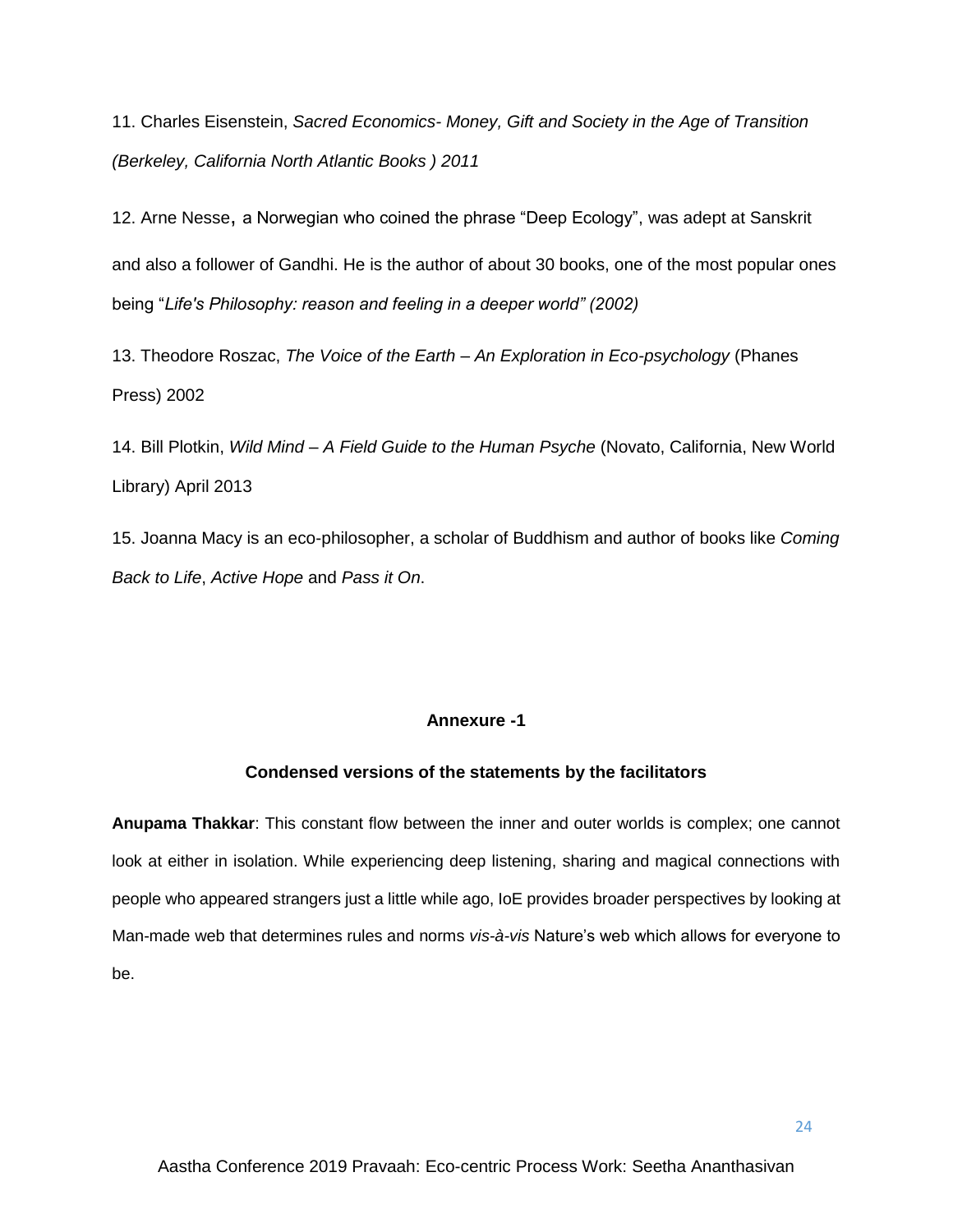11. Charles Eisenstein, *Sacred Economics- Money, Gift and Society in the Age of Transition (Berkeley, California North Atlantic Books ) 2011*

12. Arne Nesse, a Norwegian who coined the phrase "Deep Ecology", was adept at Sanskrit and also a follower of Gandhi. He is the author of about 30 books, one of the most popular ones being "*Life's Philosophy: reason and feeling in a deeper world" (2002)*

13. Theodore Roszac, *The Voice of the Earth – An Exploration in Eco-psychology* (Phanes Press) 2002

14. Bill Plotkin, *Wild Mind – A Field Guide to the Human Psyche* (Novato, California, New World Library) April 2013

15. Joanna Macy is an eco-philosopher, a scholar of Buddhism and author of books like *Coming Back to Life*, *Active Hope* and *Pass it On*.

## **Annexure -1**

#### **Condensed versions of the statements by the facilitators**

**Anupama Thakkar**: This constant flow between the inner and outer worlds is complex; one cannot look at either in isolation. While experiencing deep listening, sharing and magical connections with people who appeared strangers just a little while ago, IoE provides broader perspectives by looking at Man-made web that determines rules and norms *vis-à-vis* Nature's web which allows for everyone to be.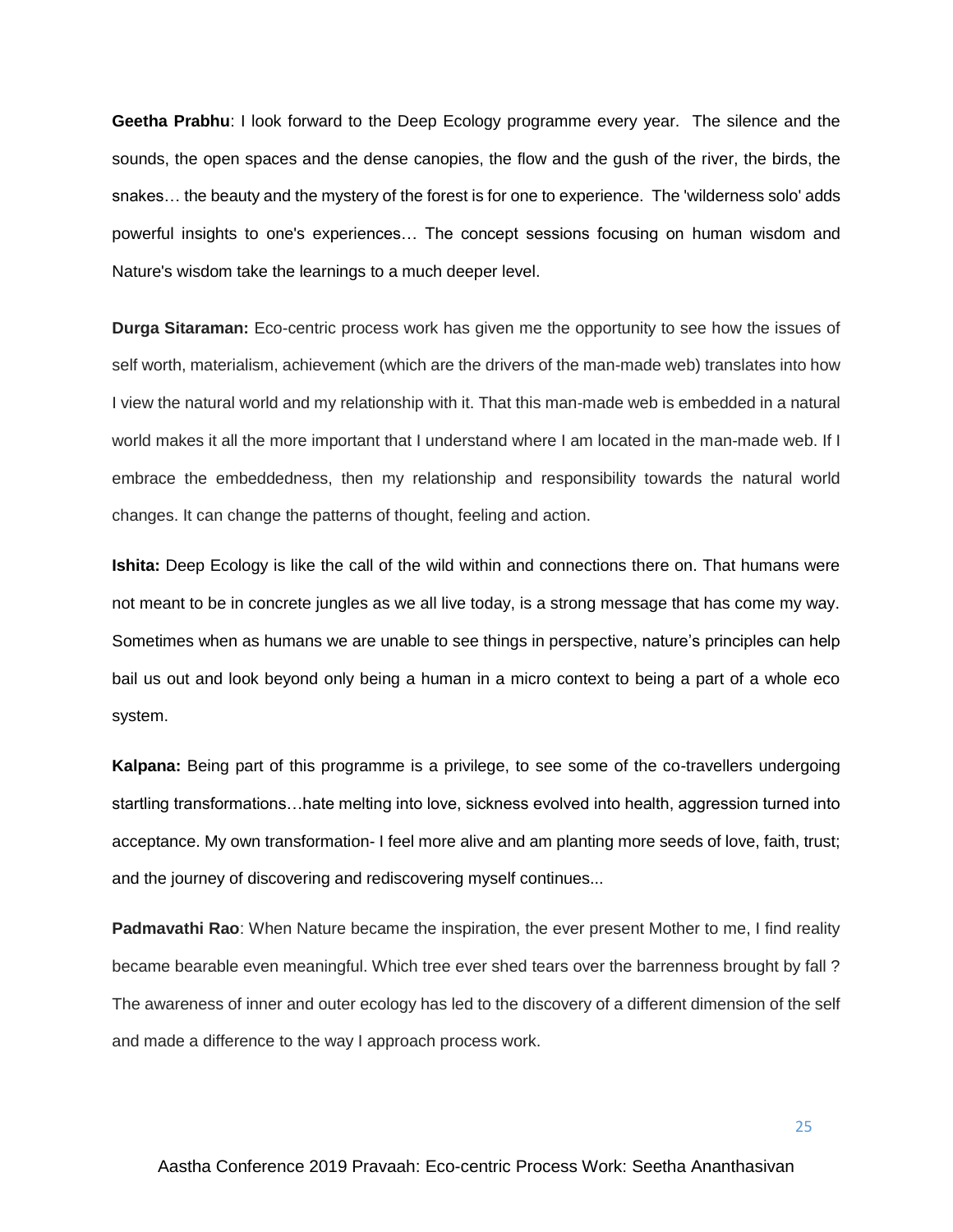**Geetha Prabhu**: I look forward to the Deep Ecology programme every year. The silence and the sounds, the open spaces and the dense canopies, the flow and the gush of the river, the birds, the snakes… the beauty and the mystery of the forest is for one to experience. The 'wilderness solo' adds powerful insights to one's experiences… The concept sessions focusing on human wisdom and Nature's wisdom take the learnings to a much deeper level.

**Durga Sitaraman:** Eco-centric process work has given me the opportunity to see how the issues of self worth, materialism, achievement (which are the drivers of the man-made web) translates into how I view the natural world and my relationship with it. That this man-made web is embedded in a natural world makes it all the more important that I understand where I am located in the man-made web. If I embrace the embeddedness, then my relationship and responsibility towards the natural world changes. It can change the patterns of thought, feeling and action.

**Ishita:** Deep Ecology is like the call of the wild within and connections there on. That humans were not meant to be in concrete jungles as we all live today, is a strong message that has come my way. Sometimes when as humans we are unable to see things in perspective, nature's principles can help bail us out and look beyond only being a human in a micro context to being a part of a whole eco system.

**Kalpana:** Being part of this programme is a privilege, to see some of the co-travellers undergoing startling transformations…hate melting into love, sickness evolved into health, aggression turned into acceptance. My own transformation- I feel more alive and am planting more seeds of love, faith, trust; and the journey of discovering and rediscovering myself continues...

**Padmavathi Rao**: When Nature became the inspiration, the ever present Mother to me, I find reality became bearable even meaningful. Which tree ever shed tears over the barrenness brought by fall ? The awareness of inner and outer ecology has led to the discovery of a different dimension of the self and made a difference to the way I approach process work.